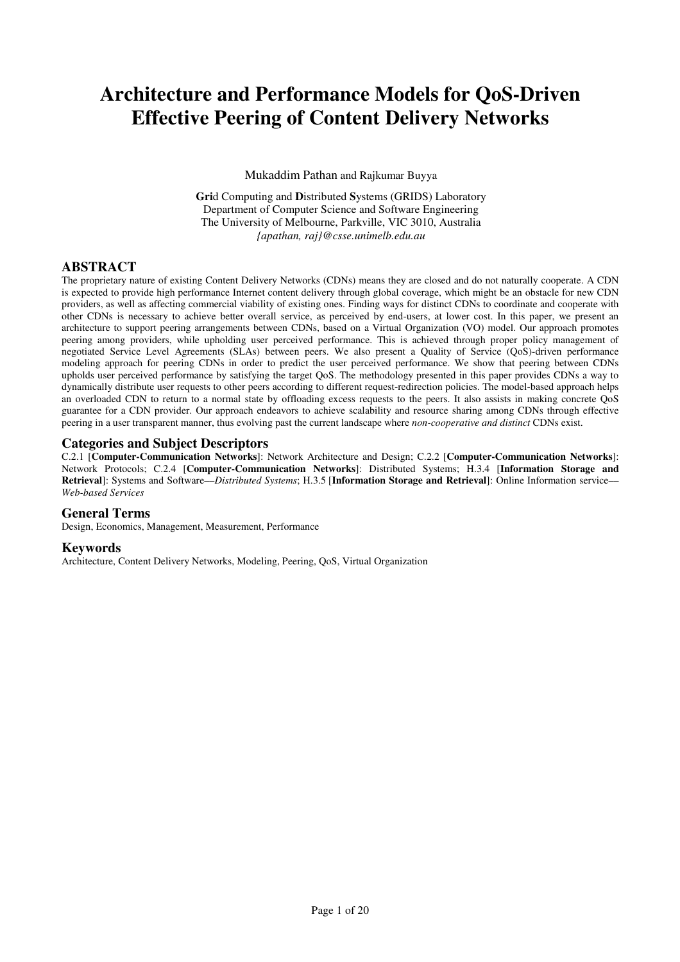# Architecture and Performance Models for QoS-Driven Effective Peering of Content Delivery Networks

Mukaddim Pathan and Rajkumar Buyya

Grid Computing and Distributed Systems (GRIDS) Laboratory Department of Computer Science and Software Engineering The University of Melbourne, Parkville, VIC 3010, Australia {apathan, raj}@csse.unimelb.edu.au

# **ABSTRACT**

The proprietary nature of existing Content Delivery Networks (CDNs) means they are closed and do not naturally cooperate. A CDN is expected to provide high performance Internet content delivery through global coverage, which might be an obstacle for new CDN providers, as well as affecting commercial viability of existing ones. Finding ways for distinct CDNs to coordinate and cooperate with other CDNs is necessary to achieve better overall service, as perceived by end-users, at lower cost. In this paper, we present an architecture to support peering arrangements between CDNs, based on a Virtual Organization (VO) model. Our approach promotes peering among providers, while upholding user perceived performance. This is achieved through proper policy management of negotiated Service Level Agreements (SLAs) between peers. We also present a Quality of Service (QoS)-driven performance modeling approach for peering CDNs in order to predict the user perceived performance. We show that peering between CDNs upholds user perceived performance by satisfying the target QoS. The methodology presented in this paper provides CDNs a way to dynamically distribute user requests to other peers according to different request-redirection policies. The model-based approach helps an overloaded CDN to return to a normal state by offloading excess requests to the peers. It also assists in making concrete QoS guarantee for a CDN provider. Our approach endeavors to achieve scalability and resource sharing among CDNs through effective peering in a user transparent manner, thus evolving past the current landscape where non-cooperative and distinct CDNs exist.

## Categories and Subject Descriptors

C.2.1 [Computer-Communication Networks]: Network Architecture and Design; C.2.2 [Computer-Communication Networks]: Network Protocols; C.2.4 [Computer-Communication Networks]: Distributed Systems; H.3.4 [Information Storage and Retrieval]: Systems and Software––Distributed Systems; H.3.5 [Information Storage and Retrieval]: Online Information service– Web-based Services

# General Terms

Design, Economics, Management, Measurement, Performance

## Keywords

Architecture, Content Delivery Networks, Modeling, Peering, QoS, Virtual Organization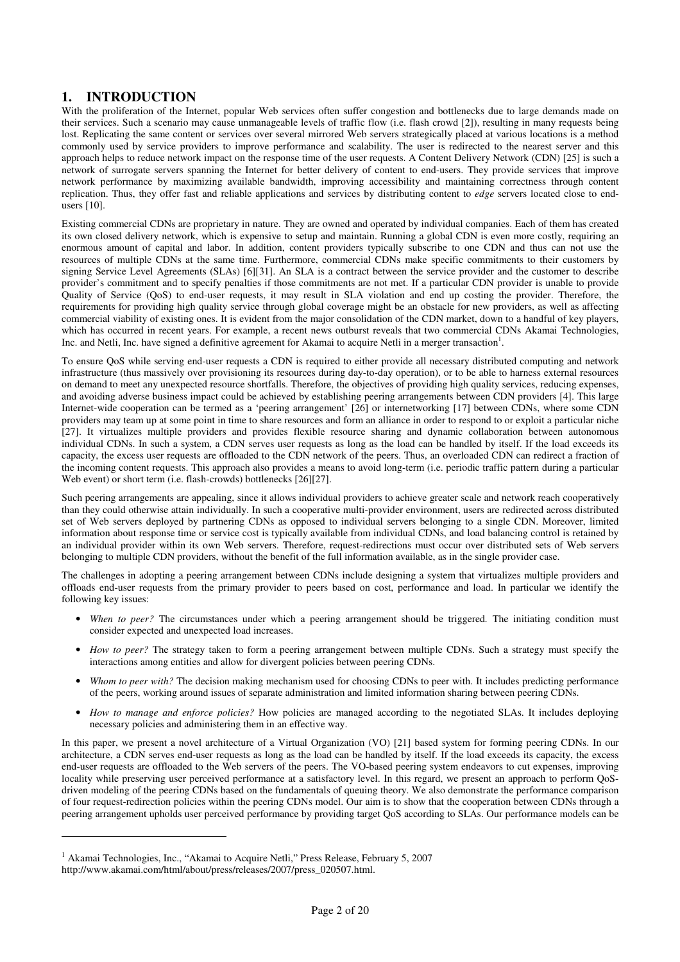# 1. INTRODUCTION

With the proliferation of the Internet, popular Web services often suffer congestion and bottlenecks due to large demands made on their services. Such a scenario may cause unmanageable levels of traffic flow (i.e. flash crowd [2]), resulting in many requests being lost. Replicating the same content or services over several mirrored Web servers strategically placed at various locations is a method commonly used by service providers to improve performance and scalability. The user is redirected to the nearest server and this approach helps to reduce network impact on the response time of the user requests. A Content Delivery Network (CDN) [25] is such a network of surrogate servers spanning the Internet for better delivery of content to end-users. They provide services that improve network performance by maximizing available bandwidth, improving accessibility and maintaining correctness through content replication. Thus, they offer fast and reliable applications and services by distributing content to *edge* servers located close to endusers [10].

Existing commercial CDNs are proprietary in nature. They are owned and operated by individual companies. Each of them has created its own closed delivery network, which is expensive to setup and maintain. Running a global CDN is even more costly, requiring an enormous amount of capital and labor. In addition, content providers typically subscribe to one CDN and thus can not use the resources of multiple CDNs at the same time. Furthermore, commercial CDNs make specific commitments to their customers by signing Service Level Agreements (SLAs) [6][31]. An SLA is a contract between the service provider and the customer to describe provider's commitment and to specify penalties if those commitments are not met. If a particular CDN provider is unable to provide Quality of Service (QoS) to end-user requests, it may result in SLA violation and end up costing the provider. Therefore, the requirements for providing high quality service through global coverage might be an obstacle for new providers, as well as affecting commercial viability of existing ones. It is evident from the major consolidation of the CDN market, down to a handful of key players, which has occurred in recent years. For example, a recent news outburst reveals that two commercial CDNs Akamai Technologies, Inc. and Netli, Inc. have signed a definitive agreement for Akamai to acquire Netli in a merger transaction<sup>1</sup>.

To ensure QoS while serving end-user requests a CDN is required to either provide all necessary distributed computing and network infrastructure (thus massively over provisioning its resources during day-to-day operation), or to be able to harness external resources on demand to meet any unexpected resource shortfalls. Therefore, the objectives of providing high quality services, reducing expenses, and avoiding adverse business impact could be achieved by establishing peering arrangements between CDN providers [4]. This large Internet-wide cooperation can be termed as a 'peering arrangement' [26] or internetworking [17] between CDNs, where some CDN providers may team up at some point in time to share resources and form an alliance in order to respond to or exploit a particular niche [27]. It virtualizes multiple providers and provides flexible resource sharing and dynamic collaboration between autonomous individual CDNs. In such a system, a CDN serves user requests as long as the load can be handled by itself. If the load exceeds its capacity, the excess user requests are offloaded to the CDN network of the peers. Thus, an overloaded CDN can redirect a fraction of the incoming content requests. This approach also provides a means to avoid long-term (i.e. periodic traffic pattern during a particular Web event) or short term (i.e. flash-crowds) bottlenecks [26][27].

Such peering arrangements are appealing, since it allows individual providers to achieve greater scale and network reach cooperatively than they could otherwise attain individually. In such a cooperative multi-provider environment, users are redirected across distributed set of Web servers deployed by partnering CDNs as opposed to individual servers belonging to a single CDN. Moreover, limited information about response time or service cost is typically available from individual CDNs, and load balancing control is retained by an individual provider within its own Web servers. Therefore, request-redirections must occur over distributed sets of Web servers belonging to multiple CDN providers, without the benefit of the full information available, as in the single provider case.

The challenges in adopting a peering arrangement between CDNs include designing a system that virtualizes multiple providers and offloads end-user requests from the primary provider to peers based on cost, performance and load. In particular we identify the following key issues:

- When to peer? The circumstances under which a peering arrangement should be triggered. The initiating condition must consider expected and unexpected load increases.
- How to peer? The strategy taken to form a peering arrangement between multiple CDNs. Such a strategy must specify the interactions among entities and allow for divergent policies between peering CDNs.
- Whom to peer with? The decision making mechanism used for choosing CDNs to peer with. It includes predicting performance of the peers, working around issues of separate administration and limited information sharing between peering CDNs.
- How to manage and enforce policies? How policies are managed according to the negotiated SLAs. It includes deploying necessary policies and administering them in an effective way.

In this paper, we present a novel architecture of a Virtual Organization (VO) [21] based system for forming peering CDNs. In our architecture, a CDN serves end-user requests as long as the load can be handled by itself. If the load exceeds its capacity, the excess end-user requests are offloaded to the Web servers of the peers. The VO-based peering system endeavors to cut expenses, improving locality while preserving user perceived performance at a satisfactory level. In this regard, we present an approach to perform QoSdriven modeling of the peering CDNs based on the fundamentals of queuing theory. We also demonstrate the performance comparison of four request-redirection policies within the peering CDNs model. Our aim is to show that the cooperation between CDNs through a peering arrangement upholds user perceived performance by providing target QoS according to SLAs. Our performance models can be

 $\overline{a}$ 

<sup>&</sup>lt;sup>1</sup> Akamai Technologies, Inc., "Akamai to Acquire Netli," Press Release, February 5, 2007 http://www.akamai.com/html/about/press/releases/2007/press\_020507.html.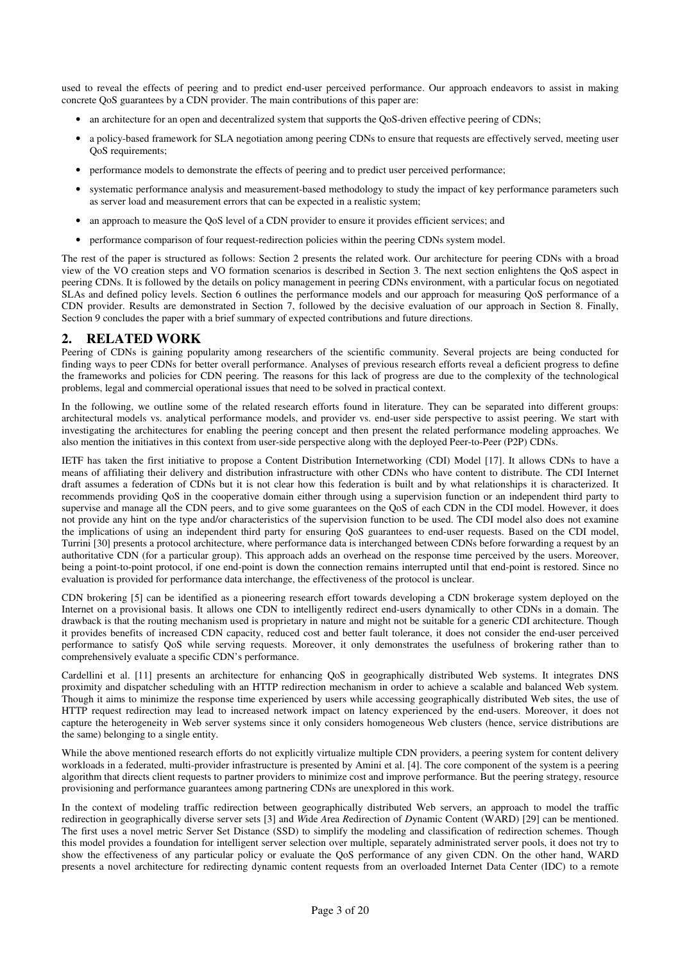used to reveal the effects of peering and to predict end-user perceived performance. Our approach endeavors to assist in making concrete QoS guarantees by a CDN provider. The main contributions of this paper are:

- an architecture for an open and decentralized system that supports the QoS-driven effective peering of CDNs;
- a policy-based framework for SLA negotiation among peering CDNs to ensure that requests are effectively served, meeting user QoS requirements;
- performance models to demonstrate the effects of peering and to predict user perceived performance;
- systematic performance analysis and measurement-based methodology to study the impact of key performance parameters such as server load and measurement errors that can be expected in a realistic system;
- an approach to measure the QoS level of a CDN provider to ensure it provides efficient services; and
- performance comparison of four request-redirection policies within the peering CDNs system model.

The rest of the paper is structured as follows: Section 2 presents the related work. Our architecture for peering CDNs with a broad view of the VO creation steps and VO formation scenarios is described in Section 3. The next section enlightens the QoS aspect in peering CDNs. It is followed by the details on policy management in peering CDNs environment, with a particular focus on negotiated SLAs and defined policy levels. Section 6 outlines the performance models and our approach for measuring QoS performance of a CDN provider. Results are demonstrated in Section 7, followed by the decisive evaluation of our approach in Section 8. Finally, Section 9 concludes the paper with a brief summary of expected contributions and future directions.

## 2. RELATED WORK

Peering of CDNs is gaining popularity among researchers of the scientific community. Several projects are being conducted for finding ways to peer CDNs for better overall performance. Analyses of previous research efforts reveal a deficient progress to define the frameworks and policies for CDN peering. The reasons for this lack of progress are due to the complexity of the technological problems, legal and commercial operational issues that need to be solved in practical context.

In the following, we outline some of the related research efforts found in literature. They can be separated into different groups: architectural models vs. analytical performance models, and provider vs. end-user side perspective to assist peering. We start with investigating the architectures for enabling the peering concept and then present the related performance modeling approaches. We also mention the initiatives in this context from user-side perspective along with the deployed Peer-to-Peer (P2P) CDNs.

IETF has taken the first initiative to propose a Content Distribution Internetworking (CDI) Model [17]. It allows CDNs to have a means of affiliating their delivery and distribution infrastructure with other CDNs who have content to distribute. The CDI Internet draft assumes a federation of CDNs but it is not clear how this federation is built and by what relationships it is characterized. It recommends providing QoS in the cooperative domain either through using a supervision function or an independent third party to supervise and manage all the CDN peers, and to give some guarantees on the QoS of each CDN in the CDI model. However, it does not provide any hint on the type and/or characteristics of the supervision function to be used. The CDI model also does not examine the implications of using an independent third party for ensuring QoS guarantees to end-user requests. Based on the CDI model, Turrini [30] presents a protocol architecture, where performance data is interchanged between CDNs before forwarding a request by an authoritative CDN (for a particular group). This approach adds an overhead on the response time perceived by the users. Moreover, being a point-to-point protocol, if one end-point is down the connection remains interrupted until that end-point is restored. Since no evaluation is provided for performance data interchange, the effectiveness of the protocol is unclear.

CDN brokering [5] can be identified as a pioneering research effort towards developing a CDN brokerage system deployed on the Internet on a provisional basis. It allows one CDN to intelligently redirect end-users dynamically to other CDNs in a domain. The drawback is that the routing mechanism used is proprietary in nature and might not be suitable for a generic CDI architecture. Though it provides benefits of increased CDN capacity, reduced cost and better fault tolerance, it does not consider the end-user perceived performance to satisfy QoS while serving requests. Moreover, it only demonstrates the usefulness of brokering rather than to comprehensively evaluate a specific CDN's performance.

Cardellini et al. [11] presents an architecture for enhancing QoS in geographically distributed Web systems. It integrates DNS proximity and dispatcher scheduling with an HTTP redirection mechanism in order to achieve a scalable and balanced Web system. Though it aims to minimize the response time experienced by users while accessing geographically distributed Web sites, the use of HTTP request redirection may lead to increased network impact on latency experienced by the end-users. Moreover, it does not capture the heterogeneity in Web server systems since it only considers homogeneous Web clusters (hence, service distributions are the same) belonging to a single entity.

While the above mentioned research efforts do not explicitly virtualize multiple CDN providers, a peering system for content delivery workloads in a federated, multi-provider infrastructure is presented by Amini et al. [4]. The core component of the system is a peering algorithm that directs client requests to partner providers to minimize cost and improve performance. But the peering strategy, resource provisioning and performance guarantees among partnering CDNs are unexplored in this work.

In the context of modeling traffic redirection between geographically distributed Web servers, an approach to model the traffic redirection in geographically diverse server sets [3] and Wide Area Redirection of Dynamic Content (WARD) [29] can be mentioned. The first uses a novel metric Server Set Distance (SSD) to simplify the modeling and classification of redirection schemes. Though this model provides a foundation for intelligent server selection over multiple, separately administrated server pools, it does not try to show the effectiveness of any particular policy or evaluate the QoS performance of any given CDN. On the other hand, WARD presents a novel architecture for redirecting dynamic content requests from an overloaded Internet Data Center (IDC) to a remote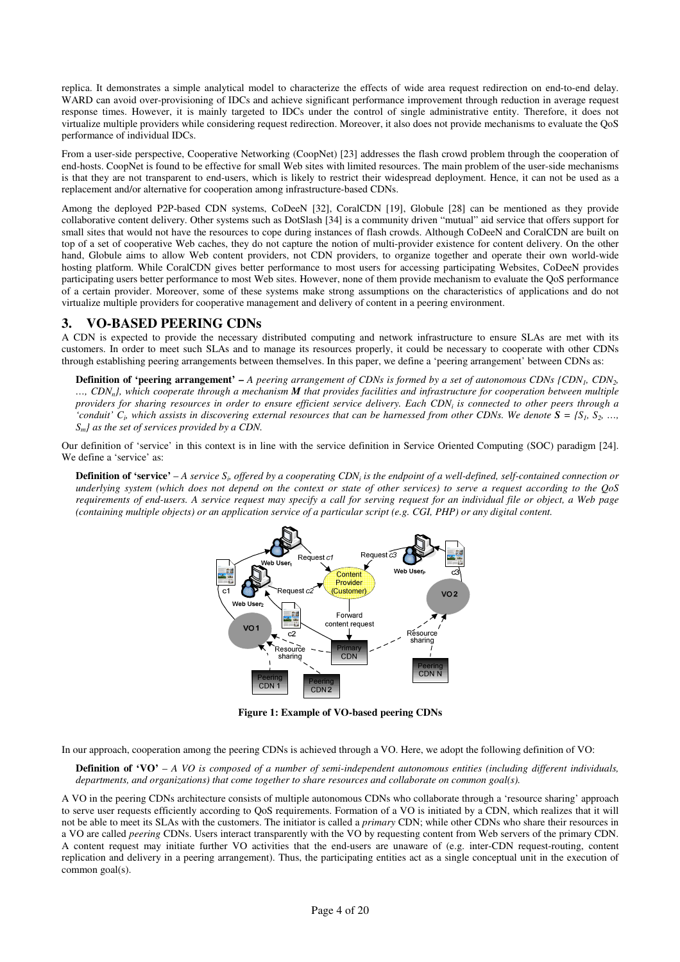replica. It demonstrates a simple analytical model to characterize the effects of wide area request redirection on end-to-end delay. WARD can avoid over-provisioning of IDCs and achieve significant performance improvement through reduction in average request response times. However, it is mainly targeted to IDCs under the control of single administrative entity. Therefore, it does not virtualize multiple providers while considering request redirection. Moreover, it also does not provide mechanisms to evaluate the QoS performance of individual IDCs.

From a user-side perspective, Cooperative Networking (CoopNet) [23] addresses the flash crowd problem through the cooperation of end-hosts. CoopNet is found to be effective for small Web sites with limited resources. The main problem of the user-side mechanisms is that they are not transparent to end-users, which is likely to restrict their widespread deployment. Hence, it can not be used as a replacement and/or alternative for cooperation among infrastructure-based CDNs.

Among the deployed P2P-based CDN systems, CoDeeN [32], CoralCDN [19], Globule [28] can be mentioned as they provide collaborative content delivery. Other systems such as DotSlash [34] is a community driven "mutual" aid service that offers support for small sites that would not have the resources to cope during instances of flash crowds. Although CoDeeN and CoralCDN are built on top of a set of cooperative Web caches, they do not capture the notion of multi-provider existence for content delivery. On the other hand, Globule aims to allow Web content providers, not CDN providers, to organize together and operate their own world-wide hosting platform. While CoralCDN gives better performance to most users for accessing participating Websites, CoDeeN provides participating users better performance to most Web sites. However, none of them provide mechanism to evaluate the QoS performance of a certain provider. Moreover, some of these systems make strong assumptions on the characteristics of applications and do not virtualize multiple providers for cooperative management and delivery of content in a peering environment.

# 3. VO-BASED PEERING CDNs

A CDN is expected to provide the necessary distributed computing and network infrastructure to ensure SLAs are met with its customers. In order to meet such SLAs and to manage its resources properly, it could be necessary to cooperate with other CDNs through establishing peering arrangements between themselves. In this paper, we define a 'peering arrangement' between CDNs as:

**Definition of 'peering arrangement'**  $-A$  peering arrangement of CDNs is formed by a set of autonomous CDNs  $\{CDN_1, CDN_2,$  $...,$  CDN<sub>n</sub>}, which cooperate through a mechanism **M** that provides facilities and infrastructure for cooperation between multiple providers for sharing resources in order to ensure efficient service delivery. Each CDN<sub>i</sub> is connected to other peers through a 'conduit'  $C_i$ , which assists in discovering external resources that can be harnessed from other CDNs. We denote  $S = \{S_1, S_2, ...,$  $S_m$ *l* as the set of services provided by a CDN.

Our definition of 'service' in this context is in line with the service definition in Service Oriented Computing (SOC) paradigm [24]. We define a 'service' as:

**Definition of 'service'** – A service  $S_i$ , offered by a cooperating CDN<sub>i</sub> is the endpoint of a well-defined, self-contained connection or underlying system (which does not depend on the context or state of other services) to serve a request according to the QoS requirements of end-users. A service request may specify a call for serving request for an individual file or object, a Web page (containing multiple objects) or an application service of a particular script (e.g. CGI, PHP) or any digital content.



Figure 1: Example of VO-based peering CDNs

In our approach, cooperation among the peering CDNs is achieved through a VO. Here, we adopt the following definition of VO:

**Definition of 'VO'** – A VO is composed of a number of semi-independent autonomous entities (including different individuals, departments, and organizations) that come together to share resources and collaborate on common goal(s).

A VO in the peering CDNs architecture consists of multiple autonomous CDNs who collaborate through a 'resource sharing' approach to serve user requests efficiently according to QoS requirements. Formation of a VO is initiated by a CDN, which realizes that it will not be able to meet its SLAs with the customers. The initiator is called a *primary* CDN; while other CDNs who share their resources in a VO are called *peering* CDNs. Users interact transparently with the VO by requesting content from Web servers of the primary CDN. A content request may initiate further VO activities that the end-users are unaware of (e.g. inter-CDN request-routing, content replication and delivery in a peering arrangement). Thus, the participating entities act as a single conceptual unit in the execution of common goal(s).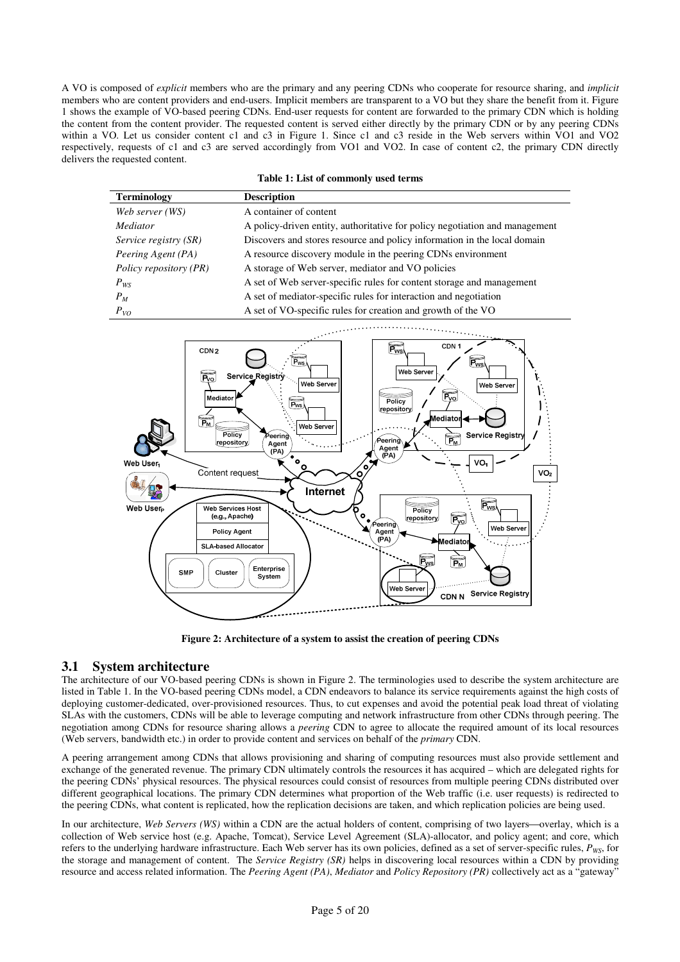A VO is composed of explicit members who are the primary and any peering CDNs who cooperate for resource sharing, and implicit members who are content providers and end-users. Implicit members are transparent to a VO but they share the benefit from it. Figure 1 shows the example of VO-based peering CDNs. End-user requests for content are forwarded to the primary CDN which is holding the content from the content provider. The requested content is served either directly by the primary CDN or by any peering CDNs within a VO. Let us consider content c1 and c3 in Figure 1. Since c1 and c3 reside in the Web servers within VO1 and VO2 respectively, requests of c1 and c3 are served accordingly from VO1 and VO2. In case of content c2, the primary CDN directly delivers the requested content.

#### Table 1: List of commonly used terms

| <b>Terminology</b>     | <b>Description</b>                                                          |
|------------------------|-----------------------------------------------------------------------------|
| Web server (WS)        | A container of content                                                      |
| <i>Mediator</i>        | A policy-driven entity, authoritative for policy negotiation and management |
| Service registry (SR)  | Discovers and stores resource and policy information in the local domain    |
| Peering Agent (PA)     | A resource discovery module in the peering CDNs environment                 |
| Policy repository (PR) | A storage of Web server, mediator and VO policies                           |
| $P_{WS}$               | A set of Web server-specific rules for content storage and management       |
| $P_M$                  | A set of mediator-specific rules for interaction and negotiation            |
| $P_{VQ}$               | A set of VO-specific rules for creation and growth of the VO                |



Figure 2: Architecture of a system to assist the creation of peering CDNs

# 3.1 System architecture

The architecture of our VO-based peering CDNs is shown in Figure 2. The terminologies used to describe the system architecture are listed in Table 1. In the VO-based peering CDNs model, a CDN endeavors to balance its service requirements against the high costs of deploying customer-dedicated, over-provisioned resources. Thus, to cut expenses and avoid the potential peak load threat of violating SLAs with the customers, CDNs will be able to leverage computing and network infrastructure from other CDNs through peering. The negotiation among CDNs for resource sharing allows a peering CDN to agree to allocate the required amount of its local resources (Web servers, bandwidth etc.) in order to provide content and services on behalf of the primary CDN.

A peering arrangement among CDNs that allows provisioning and sharing of computing resources must also provide settlement and exchange of the generated revenue. The primary CDN ultimately controls the resources it has acquired – which are delegated rights for the peering CDNs' physical resources. The physical resources could consist of resources from multiple peering CDNs distributed over different geographical locations. The primary CDN determines what proportion of the Web traffic (i.e. user requests) is redirected to the peering CDNs, what content is replicated, how the replication decisions are taken, and which replication policies are being used.

In our architecture, Web Servers (WS) within a CDN are the actual holders of content, comprising of two layers—overlay, which is a collection of Web service host (e.g. Apache, Tomcat), Service Level Agreement (SLA)-allocator, and policy agent; and core, which refers to the underlying hardware infrastructure. Each Web server has its own policies, defined as a set of server-specific rules,  $P_{WS}$ , for the storage and management of content. The Service Registry (SR) helps in discovering local resources within a CDN by providing resource and access related information. The Peering Agent (PA), Mediator and Policy Repository (PR) collectively act as a "gateway"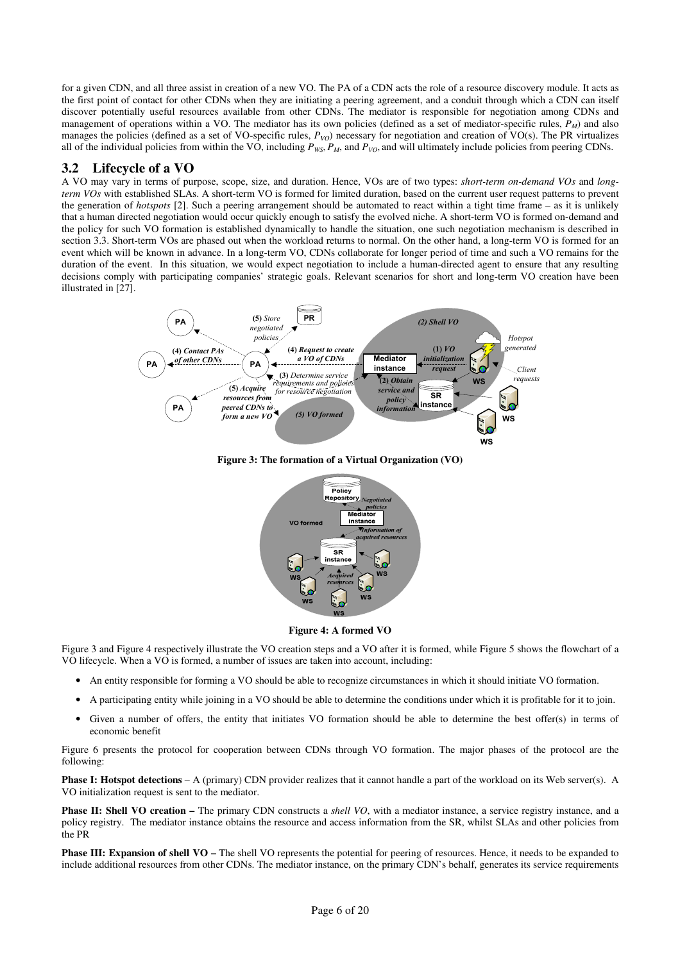for a given CDN, and all three assist in creation of a new VO. The PA of a CDN acts the role of a resource discovery module. It acts as the first point of contact for other CDNs when they are initiating a peering agreement, and a conduit through which a CDN can itself discover potentially useful resources available from other CDNs. The mediator is responsible for negotiation among CDNs and management of operations within a VO. The mediator has its own policies (defined as a set of mediator-specific rules,  $P_M$ ) and also manages the policies (defined as a set of VO-specific rules,  $P_{VO}$ ) necessary for negotiation and creation of VO(s). The PR virtualizes all of the individual policies from within the VO, including  $P_{WS}$ ,  $P_M$ , and  $P_{VO}$ , and will ultimately include policies from peering CDNs.

# 3.2 Lifecycle of a VO

A VO may vary in terms of purpose, scope, size, and duration. Hence, VOs are of two types: short-term on-demand VOs and longterm VOs with established SLAs. A short-term VO is formed for limited duration, based on the current user request patterns to prevent the generation of *hotspots* [2]. Such a peering arrangement should be automated to react within a tight time frame – as it is unlikely that a human directed negotiation would occur quickly enough to satisfy the evolved niche. A short-term VO is formed on-demand and the policy for such VO formation is established dynamically to handle the situation, one such negotiation mechanism is described in section 3.3. Short-term VOs are phased out when the workload returns to normal. On the other hand, a long-term VO is formed for an event which will be known in advance. In a long-term VO, CDNs collaborate for longer period of time and such a VO remains for the duration of the event. In this situation, we would expect negotiation to include a human-directed agent to ensure that any resulting decisions comply with participating companies' strategic goals. Relevant scenarios for short and long-term VO creation have been illustrated in [27].



Figure 3: The formation of a Virtual Organization (VO)



Figure 4: A formed VO

Figure 3 and Figure 4 respectively illustrate the VO creation steps and a VO after it is formed, while Figure 5 shows the flowchart of a VO lifecycle. When a VO is formed, a number of issues are taken into account, including:

- An entity responsible for forming a VO should be able to recognize circumstances in which it should initiate VO formation.
- A participating entity while joining in a VO should be able to determine the conditions under which it is profitable for it to join.
- Given a number of offers, the entity that initiates VO formation should be able to determine the best offer(s) in terms of economic benefit

Figure 6 presents the protocol for cooperation between CDNs through VO formation. The major phases of the protocol are the following:

Phase I: Hotspot detections - A (primary) CDN provider realizes that it cannot handle a part of the workload on its Web server(s). A VO initialization request is sent to the mediator.

**Phase II: Shell VO creation –** The primary CDN constructs a *shell VO*, with a mediator instance, a service registry instance, and a policy registry. The mediator instance obtains the resource and access information from the SR, whilst SLAs and other policies from the PR

**Phase III: Expansion of shell VO** – The shell VO represents the potential for peering of resources. Hence, it needs to be expanded to include additional resources from other CDNs. The mediator instance, on the primary CDN's behalf, generates its service requirements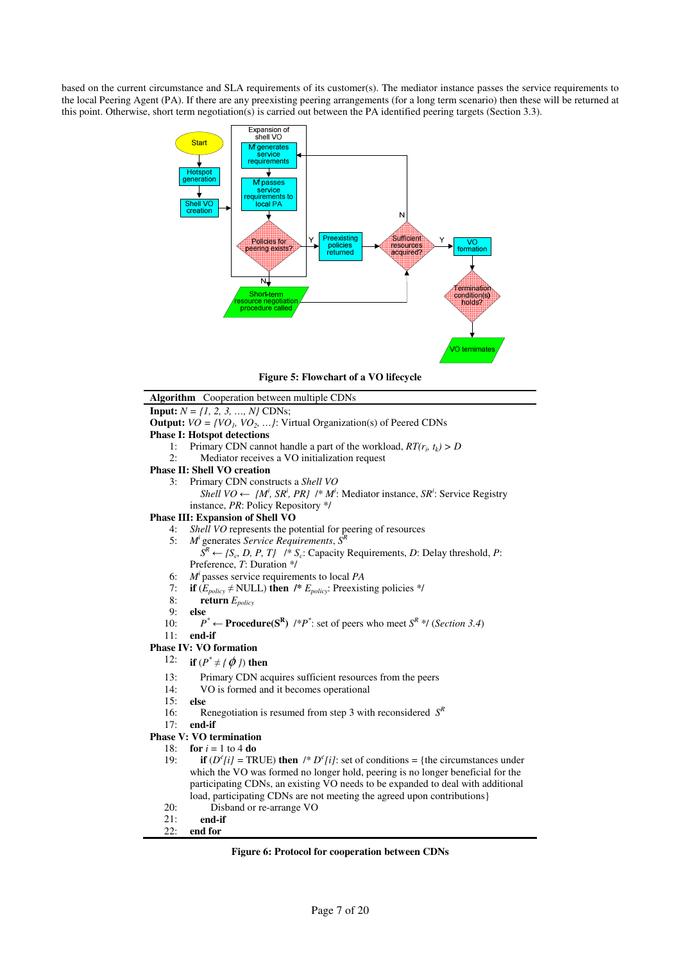based on the current circumstance and SLA requirements of its customer(s). The mediator instance passes the service requirements to the local Peering Agent (PA). If there are any preexisting peering arrangements (for a long term scenario) then these will be returned at this point. Otherwise, short term negotiation(s) is carried out between the PA identified peering targets (Section 3.3).



Figure 5: Flowchart of a VO lifecycle



Figure 6: Protocol for cooperation between CDNs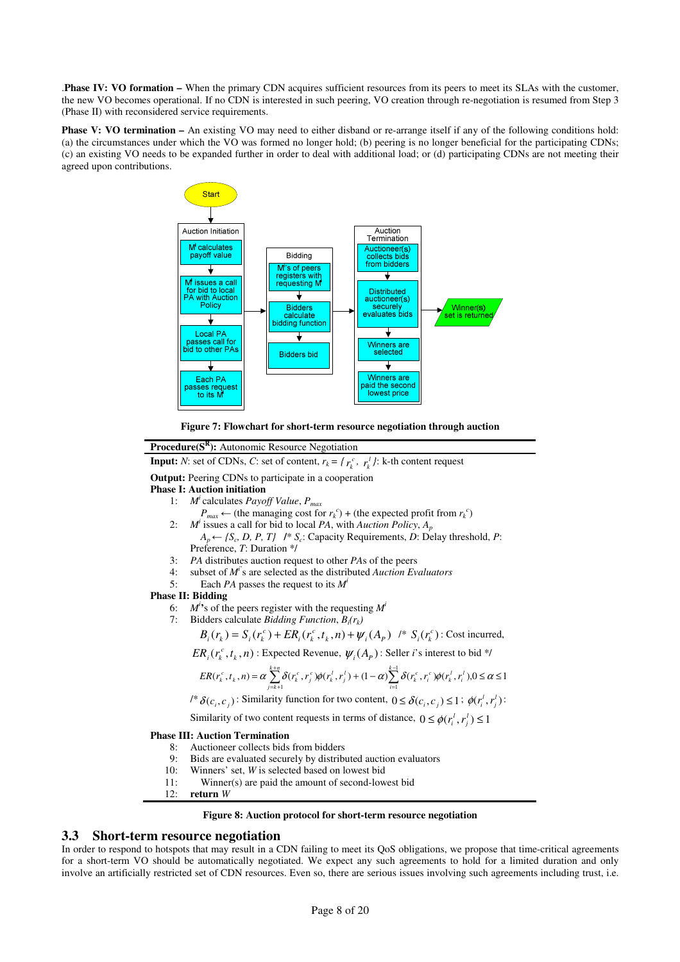.Phase IV: VO formation – When the primary CDN acquires sufficient resources from its peers to meet its SLAs with the customer, the new VO becomes operational. If no CDN is interested in such peering, VO creation through re-negotiation is resumed from Step 3 (Phase II) with reconsidered service requirements.

**Phase V: VO termination –** An existing VO may need to either disband or re-arrange itself if any of the following conditions hold: (a) the circumstances under which the VO was formed no longer hold; (b) peering is no longer beneficial for the participating CDNs; (c) an existing VO needs to be expanded further in order to deal with additional load; or (d) participating CDNs are not meeting their agreed upon contributions.





### Procedure(S<sup>R</sup>): Autonomic Resource Negotiation

**Input:** *N*: set of CDNs, *C*: set of content,  $r_k = \{r_k^c, r_k^l\}$ : k-th content request

Output: Peering CDNs to participate in a cooperation

#### Phase I: Auction initiation

- 1:  $M^i$  calculates *Payoff Value*,  $P_{max}$ 
	- $P_{max} \leftarrow$  (the managing cost for  $r_k^c$ ) + (the expected profit from  $r_k^c$ )
- 2:  $M^i$  issues a call for bid to local PA, with Auction Policy,  $A_p$  $A_p \leftarrow \{S_c, D, P, T\}$  /\*  $S_c$ : Capacity Requirements, D: Delay threshold, P: Preference, T: Duration \*/
- 3: PA distributes auction request to other PAs of the peers
- 4: subset of  $M^i$ 's are selected as the distributed Auction Evaluators
- 5: Each *PA* passes the request to its  $M^i$

### Phase II: Bidding

- 6:  $M^i$ 's of the peers register with the requesting  $M^i$
- 7: Bidders calculate *Bidding Function*,  $B_i(r_k)$

 $B_i(r_k) = S_i(r_k^c) + ER_i(r_k^c, t_k, n) + \psi_i(A_p)$  /\*  $S_i(r_k^c)$ : Cost incurred,

 $ER_i(r_k^c, t_k, n)$ : Expected Revenue,  $\psi_i(A_p)$ : Seller *i*'s interest to bid \*/

$$
ER(r_k^c, t_k, n) = \alpha \sum_{j=k+1}^{k+n} \delta(r_k^c, r_j^c) \phi(r_k^l, r_j^l) + (1-\alpha) \sum_{i=1}^{k-1} \delta(r_k^c, r_i^c) \phi(r_k^l, r_i^l), 0 \le \alpha \le 1
$$

 $\ell^* \delta(c_i, c_j)$ : Similarity function for two content,  $0 \leq \delta(c_i, c_j) \leq 1$ ;  $\phi(r_i^l, r_j^l)$ :

Similarity of two content requests in terms of distance,  $0 \leq \phi(r_i^1, r_j^1) \leq 1$ 

#### Phase III: Auction Termination

- 8: Auctioneer collects bids from bidders
- 9: Bids are evaluated securely by distributed auction evaluators
- 10: Winners' set, W is selected based on lowest bid
- 11: Winner(s) are paid the amount of second-lowest bid
- 12: return W

#### Figure 8: Auction protocol for short-term resource negotiation

### 3.3 Short-term resource negotiation

In order to respond to hotspots that may result in a CDN failing to meet its QoS obligations, we propose that time-critical agreements for a short-term VO should be automatically negotiated. We expect any such agreements to hold for a limited duration and only involve an artificially restricted set of CDN resources. Even so, there are serious issues involving such agreements including trust, i.e.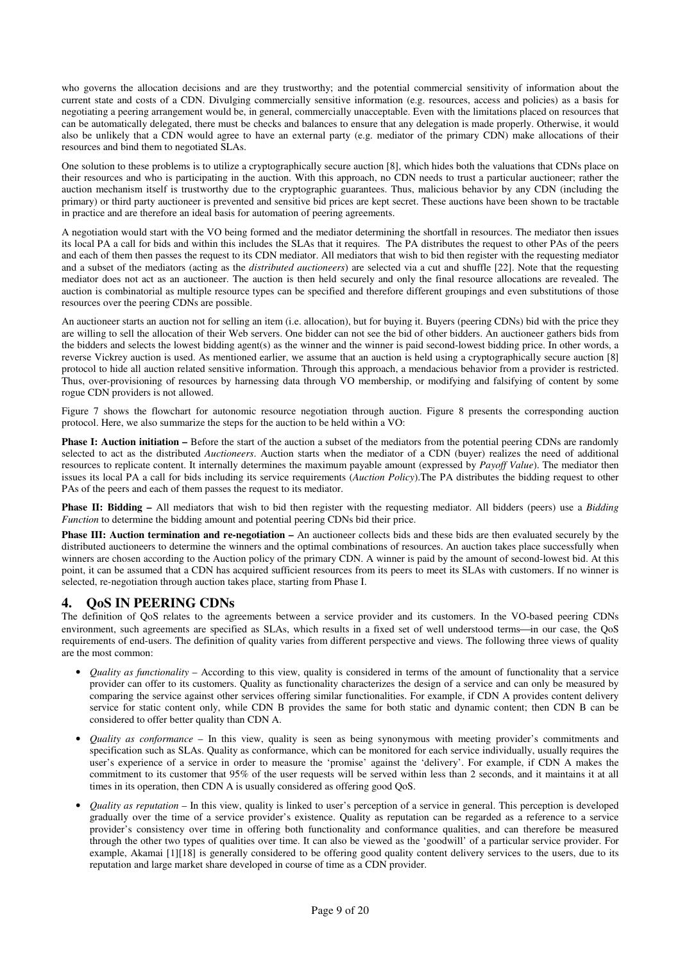who governs the allocation decisions and are they trustworthy; and the potential commercial sensitivity of information about the current state and costs of a CDN. Divulging commercially sensitive information (e.g. resources, access and policies) as a basis for negotiating a peering arrangement would be, in general, commercially unacceptable. Even with the limitations placed on resources that can be automatically delegated, there must be checks and balances to ensure that any delegation is made properly. Otherwise, it would also be unlikely that a CDN would agree to have an external party (e.g. mediator of the primary CDN) make allocations of their resources and bind them to negotiated SLAs.

One solution to these problems is to utilize a cryptographically secure auction [8], which hides both the valuations that CDNs place on their resources and who is participating in the auction. With this approach, no CDN needs to trust a particular auctioneer; rather the auction mechanism itself is trustworthy due to the cryptographic guarantees. Thus, malicious behavior by any CDN (including the primary) or third party auctioneer is prevented and sensitive bid prices are kept secret. These auctions have been shown to be tractable in practice and are therefore an ideal basis for automation of peering agreements.

A negotiation would start with the VO being formed and the mediator determining the shortfall in resources. The mediator then issues its local PA a call for bids and within this includes the SLAs that it requires. The PA distributes the request to other PAs of the peers and each of them then passes the request to its CDN mediator. All mediators that wish to bid then register with the requesting mediator and a subset of the mediators (acting as the distributed auctioneers) are selected via a cut and shuffle [22]. Note that the requesting mediator does not act as an auctioneer. The auction is then held securely and only the final resource allocations are revealed. The auction is combinatorial as multiple resource types can be specified and therefore different groupings and even substitutions of those resources over the peering CDNs are possible.

An auctioneer starts an auction not for selling an item (i.e. allocation), but for buying it. Buyers (peering CDNs) bid with the price they are willing to sell the allocation of their Web servers. One bidder can not see the bid of other bidders. An auctioneer gathers bids from the bidders and selects the lowest bidding agent(s) as the winner and the winner is paid second-lowest bidding price. In other words, a reverse Vickrey auction is used. As mentioned earlier, we assume that an auction is held using a cryptographically secure auction [8] protocol to hide all auction related sensitive information. Through this approach, a mendacious behavior from a provider is restricted. Thus, over-provisioning of resources by harnessing data through VO membership, or modifying and falsifying of content by some rogue CDN providers is not allowed.

Figure 7 shows the flowchart for autonomic resource negotiation through auction. Figure 8 presents the corresponding auction protocol. Here, we also summarize the steps for the auction to be held within a VO:

Phase I: Auction initiation – Before the start of the auction a subset of the mediators from the potential peering CDNs are randomly selected to act as the distributed Auctioneers. Auction starts when the mediator of a CDN (buyer) realizes the need of additional resources to replicate content. It internally determines the maximum payable amount (expressed by Payoff Value). The mediator then issues its local PA a call for bids including its service requirements (Auction Policy). The PA distributes the bidding request to other PAs of the peers and each of them passes the request to its mediator.

**Phase II: Bidding –** All mediators that wish to bid then register with the requesting mediator. All bidders (peers) use a *Bidding* Function to determine the bidding amount and potential peering CDNs bid their price.

Phase III: Auction termination and re-negotiation – An auctioneer collects bids and these bids are then evaluated securely by the distributed auctioneers to determine the winners and the optimal combinations of resources. An auction takes place successfully when winners are chosen according to the Auction policy of the primary CDN. A winner is paid by the amount of second-lowest bid. At this point, it can be assumed that a CDN has acquired sufficient resources from its peers to meet its SLAs with customers. If no winner is selected, re-negotiation through auction takes place, starting from Phase I.

# 4. QoS IN PEERING CDNs

The definition of QoS relates to the agreements between a service provider and its customers. In the VO-based peering CDNs environment, such agreements are specified as SLAs, which results in a fixed set of well understood terms—in our case, the OoS requirements of end-users. The definition of quality varies from different perspective and views. The following three views of quality are the most common:

- *Quality as functionality* According to this view, quality is considered in terms of the amount of functionality that a service provider can offer to its customers. Quality as functionality characterizes the design of a service and can only be measured by comparing the service against other services offering similar functionalities. For example, if CDN A provides content delivery service for static content only, while CDN B provides the same for both static and dynamic content; then CDN B can be considered to offer better quality than CDN A.
- Quality as conformance In this view, quality is seen as being synonymous with meeting provider's commitments and specification such as SLAs. Quality as conformance, which can be monitored for each service individually, usually requires the user's experience of a service in order to measure the 'promise' against the 'delivery'. For example, if CDN A makes the commitment to its customer that 95% of the user requests will be served within less than 2 seconds, and it maintains it at all times in its operation, then CDN A is usually considered as offering good QoS.
- Quality as reputation In this view, quality is linked to user's perception of a service in general. This perception is developed gradually over the time of a service provider's existence. Quality as reputation can be regarded as a reference to a service provider's consistency over time in offering both functionality and conformance qualities, and can therefore be measured through the other two types of qualities over time. It can also be viewed as the 'goodwill' of a particular service provider. For example, Akamai [1][18] is generally considered to be offering good quality content delivery services to the users, due to its reputation and large market share developed in course of time as a CDN provider.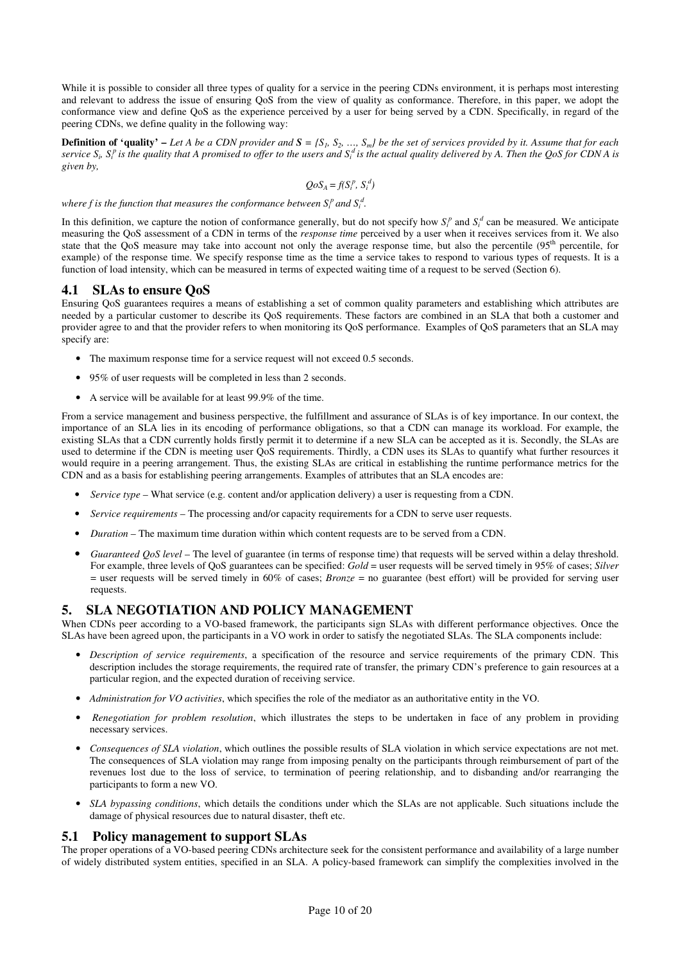While it is possible to consider all three types of quality for a service in the peering CDNs environment, it is perhaps most interesting and relevant to address the issue of ensuring QoS from the view of quality as conformance. Therefore, in this paper, we adopt the conformance view and define QoS as the experience perceived by a user for being served by a CDN. Specifically, in regard of the peering CDNs, we define quality in the following way:

**Definition of 'quality'** – Let A be a CDN provider and  $S = \{S_1, S_2, ..., S_m\}$  be the set of services provided by it. Assume that for each service  $S_i$ ,  $S_i^p$  is the quality that A promised to offer to the users and  $S_i^d$  is the actual quality delivered by A. Then the QoS for CDN A is given by,

$$
QoSA = f(Sip, Sid)
$$

where f is the function that measures the conformance between  $S_i^p$  and  $S_i^d$ .

In this definition, we capture the notion of conformance generally, but do not specify how  $S_t^p$  and  $S_t^d$  can be measured. We anticipate measuring the OoS assessment of a CDN in terms of the *response time* perceived by a user when it receives services from it. We also state that the QoS measure may take into account not only the average response time, but also the percentile (95<sup>th</sup> percentile, for example) of the response time. We specify response time as the time a service takes to respond to various types of requests. It is a function of load intensity, which can be measured in terms of expected waiting time of a request to be served (Section 6).

# 4.1 SLAs to ensure QoS

Ensuring QoS guarantees requires a means of establishing a set of common quality parameters and establishing which attributes are needed by a particular customer to describe its QoS requirements. These factors are combined in an SLA that both a customer and provider agree to and that the provider refers to when monitoring its QoS performance. Examples of QoS parameters that an SLA may specify are:

- The maximum response time for a service request will not exceed 0.5 seconds.
- 95% of user requests will be completed in less than 2 seconds.
- A service will be available for at least 99.9% of the time.

From a service management and business perspective, the fulfillment and assurance of SLAs is of key importance. In our context, the importance of an SLA lies in its encoding of performance obligations, so that a CDN can manage its workload. For example, the existing SLAs that a CDN currently holds firstly permit it to determine if a new SLA can be accepted as it is. Secondly, the SLAs are used to determine if the CDN is meeting user QoS requirements. Thirdly, a CDN uses its SLAs to quantify what further resources it would require in a peering arrangement. Thus, the existing SLAs are critical in establishing the runtime performance metrics for the CDN and as a basis for establishing peering arrangements. Examples of attributes that an SLA encodes are:

- Service type What service (e.g. content and/or application delivery) a user is requesting from a CDN.
- Service requirements The processing and/or capacity requirements for a CDN to serve user requests.
- *Duration* The maximum time duration within which content requests are to be served from a CDN.
- Guaranteed QoS level The level of guarantee (in terms of response time) that requests will be served within a delay threshold. For example, three levels of QoS guarantees can be specified: Gold = user requests will be served timely in 95% of cases; Silver = user requests will be served timely in 60% of cases; *Bronze* = no guarantee (best effort) will be provided for serving user requests.

# 5. SLA NEGOTIATION AND POLICY MANAGEMENT

When CDNs peer according to a VO-based framework, the participants sign SLAs with different performance objectives. Once the SLAs have been agreed upon, the participants in a VO work in order to satisfy the negotiated SLAs. The SLA components include:

- Description of service requirements, a specification of the resource and service requirements of the primary CDN. This description includes the storage requirements, the required rate of transfer, the primary CDN's preference to gain resources at a particular region, and the expected duration of receiving service.
- Administration for VO activities, which specifies the role of the mediator as an authoritative entity in the VO.
- Renegotiation for problem resolution, which illustrates the steps to be undertaken in face of any problem in providing necessary services.
- Consequences of SLA violation, which outlines the possible results of SLA violation in which service expectations are not met. The consequences of SLA violation may range from imposing penalty on the participants through reimbursement of part of the revenues lost due to the loss of service, to termination of peering relationship, and to disbanding and/or rearranging the participants to form a new VO.
- SLA bypassing conditions, which details the conditions under which the SLAs are not applicable. Such situations include the damage of physical resources due to natural disaster, theft etc.

## 5.1 Policy management to support SLAs

The proper operations of a VO-based peering CDNs architecture seek for the consistent performance and availability of a large number of widely distributed system entities, specified in an SLA. A policy-based framework can simplify the complexities involved in the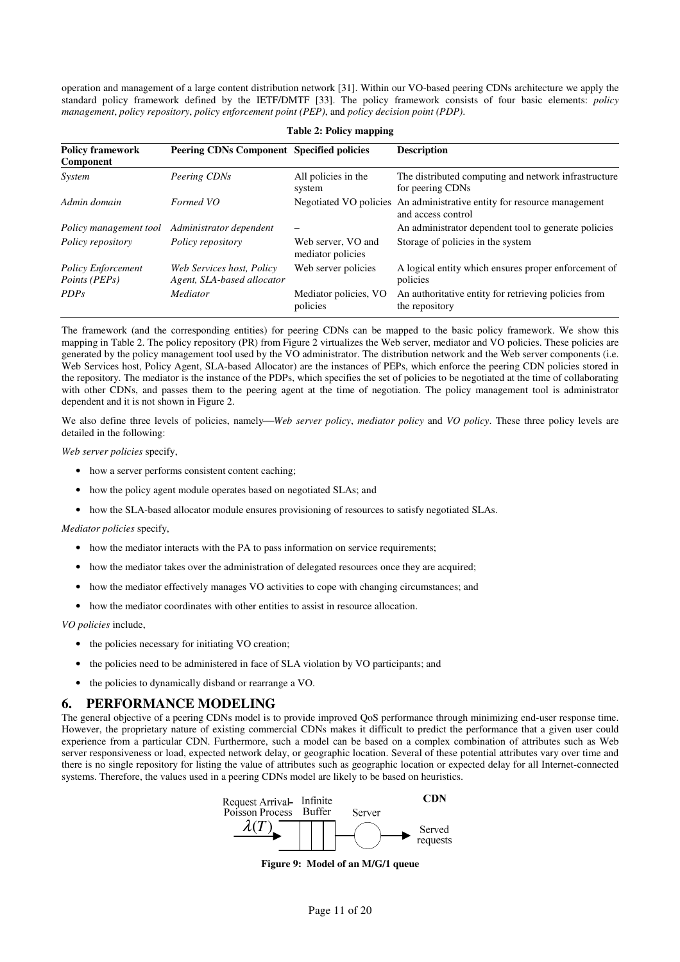operation and management of a large content distribution network [31]. Within our VO-based peering CDNs architecture we apply the standard policy framework defined by the IETF/DMTF [33]. The policy framework consists of four basic elements: policy management, policy repository, policy enforcement point (PEP), and policy decision point (PDP).

| <b>Policy framework</b><br>Component                       | Peering CDNs Component Specified policies               |                                         | <b>Description</b>                                                       |  |
|------------------------------------------------------------|---------------------------------------------------------|-----------------------------------------|--------------------------------------------------------------------------|--|
| System                                                     | Peering CDNs                                            | All policies in the<br>system           | The distributed computing and network infrastructure<br>for peering CDNs |  |
| Admin domain                                               | Formed VO                                               | Negotiated VO policies                  | An administrative entity for resource management<br>and access control   |  |
| Policy management tool                                     | Administrator dependent                                 |                                         | An administrator dependent tool to generate policies                     |  |
| Policy repository                                          | Policy repository                                       | Web server, VO and<br>mediator policies | Storage of policies in the system                                        |  |
| <b>Policy Enforcement</b><br><i>Points</i> ( <i>PEPs</i> ) | Web Services host, Policy<br>Agent, SLA-based allocator | Web server policies                     | A logical entity which ensures proper enforcement of<br>policies         |  |
| <i>PDPs</i>                                                | Mediator                                                | Mediator policies, VO<br>policies       | An authoritative entity for retrieving policies from<br>the repository   |  |

Table 2: Policy mapping

The framework (and the corresponding entities) for peering CDNs can be mapped to the basic policy framework. We show this mapping in Table 2. The policy repository (PR) from Figure 2 virtualizes the Web server, mediator and VO policies. These policies are generated by the policy management tool used by the VO administrator. The distribution network and the Web server components (i.e. Web Services host, Policy Agent, SLA-based Allocator) are the instances of PEPs, which enforce the peering CDN policies stored in the repository. The mediator is the instance of the PDPs, which specifies the set of policies to be negotiated at the time of collaborating with other CDNs, and passes them to the peering agent at the time of negotiation. The policy management tool is administrator dependent and it is not shown in Figure 2.

We also define three levels of policies, namely—Web server policy, mediator policy and VO policy. These three policy levels are detailed in the following:

Web server policies specify,

- how a server performs consistent content caching;
- how the policy agent module operates based on negotiated SLAs; and
- how the SLA-based allocator module ensures provisioning of resources to satisfy negotiated SLAs.

#### Mediator policies specify,

- how the mediator interacts with the PA to pass information on service requirements;
- how the mediator takes over the administration of delegated resources once they are acquired;
- how the mediator effectively manages VO activities to cope with changing circumstances; and
- how the mediator coordinates with other entities to assist in resource allocation.

VO policies include,

- the policies necessary for initiating VO creation;
- the policies need to be administered in face of SLA violation by VO participants; and
- the policies to dynamically disband or rearrange a VO.

## 6. PERFORMANCE MODELING

The general objective of a peering CDNs model is to provide improved QoS performance through minimizing end-user response time. However, the proprietary nature of existing commercial CDNs makes it difficult to predict the performance that a given user could experience from a particular CDN. Furthermore, such a model can be based on a complex combination of attributes such as Web server responsiveness or load, expected network delay, or geographic location. Several of these potential attributes vary over time and there is no single repository for listing the value of attributes such as geographic location or expected delay for all Internet-connected systems. Therefore, the values used in a peering CDNs model are likely to be based on heuristics.



Figure 9: Model of an M/G/1 queue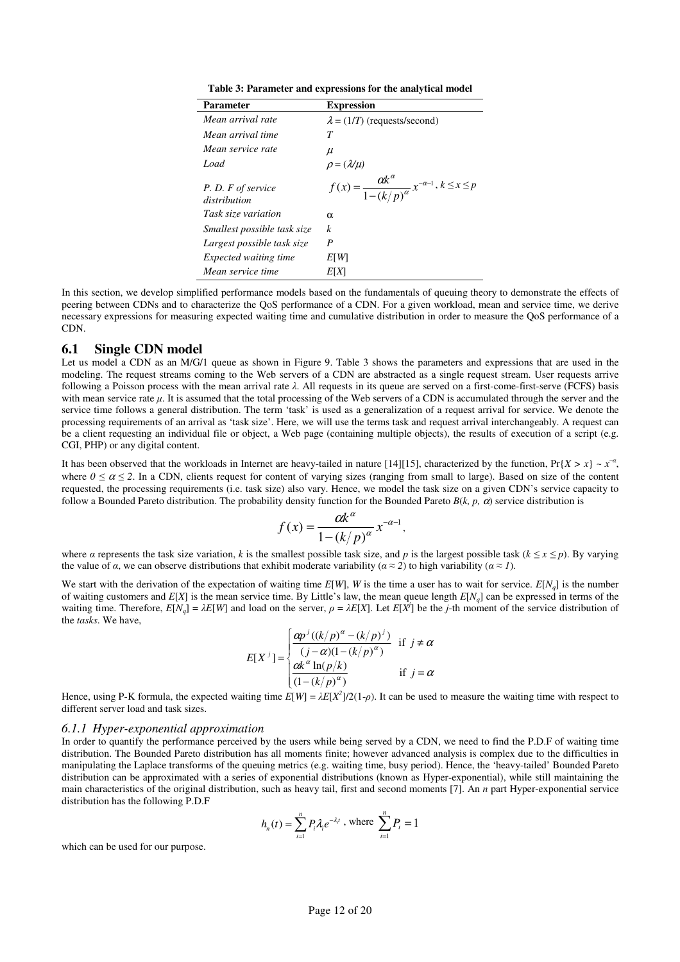| Table 3: Parameter and expressions for the analytical model |  |  |
|-------------------------------------------------------------|--|--|
|                                                             |  |  |

| Parameter                          | <b>Expression</b>                                                                                              |
|------------------------------------|----------------------------------------------------------------------------------------------------------------|
| Mean arrival rate                  | $\lambda = (1/T)$ (requests/second)                                                                            |
| Mean arrival time                  | T                                                                                                              |
| Mean service rate                  | $\mu$                                                                                                          |
| Load                               |                                                                                                                |
| P.D. F of service<br>distribution  | $\rho = (\lambda/\mu)$<br>$f(x) = \frac{\alpha k^{\alpha}}{1 - (k/p)^{\alpha}} x^{-\alpha-1}, k \leq x \leq p$ |
| Task size variation                | $\alpha$                                                                                                       |
| <i>Smallest possible task size</i> | $\boldsymbol{k}$                                                                                               |
| Largest possible task size         | P                                                                                                              |
| <i>Expected waiting time</i>       | ETWI                                                                                                           |
| Mean service time                  | E[X]                                                                                                           |

In this section, we develop simplified performance models based on the fundamentals of queuing theory to demonstrate the effects of peering between CDNs and to characterize the QoS performance of a CDN. For a given workload, mean and service time, we derive necessary expressions for measuring expected waiting time and cumulative distribution in order to measure the QoS performance of a CDN.

## 6.1 Single CDN model

Let us model a CDN as an M/G/1 queue as shown in Figure 9. Table 3 shows the parameters and expressions that are used in the modeling. The request streams coming to the Web servers of a CDN are abstracted as a single request stream. User requests arrive following a Poisson process with the mean arrival rate  $\lambda$ . All requests in its queue are served on a first-come-first-serve (FCFS) basis with mean service rate  $\mu$ . It is assumed that the total processing of the Web servers of a CDN is accumulated through the server and the service time follows a general distribution. The term 'task' is used as a generalization of a request arrival for service. We denote the processing requirements of an arrival as 'task size'. Here, we will use the terms task and request arrival interchangeably. A request can be a client requesting an individual file or object, a Web page (containing multiple objects), the results of execution of a script (e.g. CGI, PHP) or any digital content.

It has been observed that the workloads in Internet are heavy-tailed in nature [14][15], characterized by the function,  $Pr{X > x} \sim x^{-\alpha}$ , where  $0 \le \alpha \le 2$ . In a CDN, clients request for content of varying sizes (ranging from small to large). Based on size of the content requested, the processing requirements (i.e. task size) also vary. Hence, we model the task size on a given CDN's service capacity to follow a Bounded Pareto distribution. The probability density function for the Bounded Pareto  $B(k, p, \alpha)$  service distribution is

$$
f(x) = \frac{\alpha k^{\alpha}}{1 - (k/p)^{\alpha}} x^{-\alpha - 1},
$$

where  $\alpha$  represents the task size variation, k is the smallest possible task size, and p is the largest possible task ( $k \le x \le p$ ). By varying the value of a, we can observe distributions that exhibit moderate variability ( $\alpha \approx 2$ ) to high variability ( $\alpha \approx 1$ ).

We start with the derivation of the expectation of waiting time  $E[W]$ , W is the time a user has to wait for service.  $E[N_q]$  is the number of waiting customers and  $E[X]$  is the mean service time. By Little's law, the mean queue length  $E[N_q]$  can be expressed in terms of the waiting time. Therefore,  $E[N_q] = \lambda E[W]$  and load on the server,  $\rho = \lambda E[X]$ . Let  $E[X^j]$  be the j-th moment of the service distribution of the tasks. We have,

$$
E[X^j] = \begin{cases} \frac{\alpha p^j \left( (k/p)^\alpha - (k/p)^j \right)}{(j-\alpha)(1-(k/p)^\alpha)} & \text{if } j \neq \alpha \\ \frac{\alpha k^\alpha \ln(p/k)}{(1-(k/p)^\alpha)} & \text{if } j = \alpha \end{cases}
$$

Hence, using P-K formula, the expected waiting time  $E[W] = \lambda E[X^2]/2(1-\rho)$ . It can be used to measure the waiting time with respect to different server load and task sizes.

#### 6.1.1 Hyper-exponential approximation

In order to quantify the performance perceived by the users while being served by a CDN, we need to find the P.D.F of waiting time distribution. The Bounded Pareto distribution has all moments finite; however advanced analysis is complex due to the difficulties in manipulating the Laplace transforms of the queuing metrics (e.g. waiting time, busy period). Hence, the 'heavy-tailed' Bounded Pareto distribution can be approximated with a series of exponential distributions (known as Hyper-exponential), while still maintaining the main characteristics of the original distribution, such as heavy tail, first and second moments [7]. An *n* part Hyper-exponential service distribution has the following P.D.F

$$
h_n(t) = \sum_{i=1}^n P_i \lambda_i e^{-\lambda_i t}
$$
, where  $\sum_{i=1}^n P_i = 1$ 

which can be used for our purpose.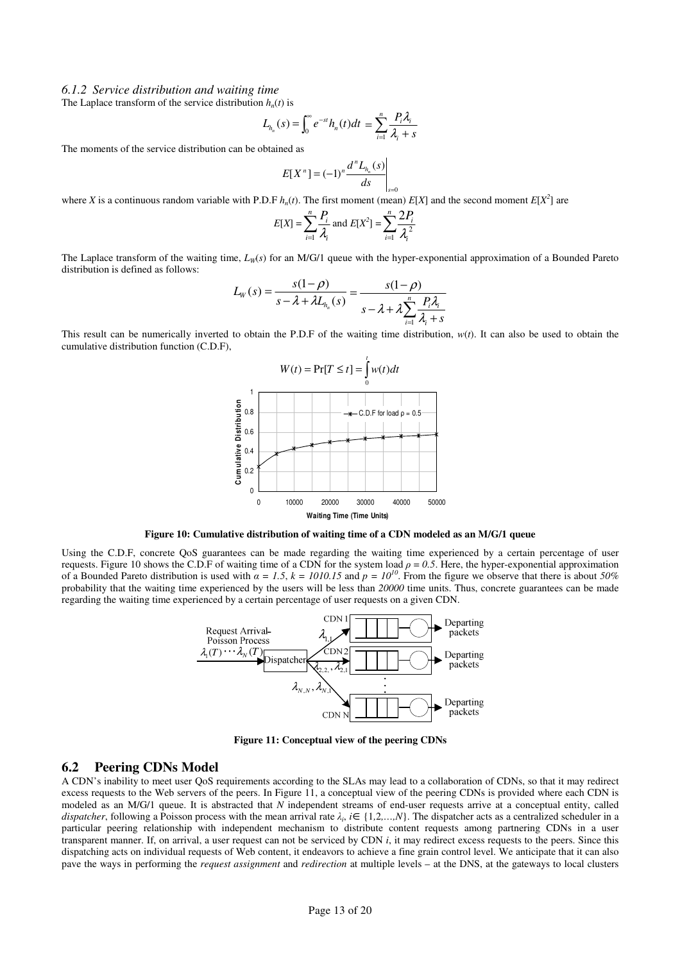#### 6.1.2 Service distribution and waiting time

The Laplace transform of the service distribution  $h_n(t)$  is

$$
L_{h_n}(s) = \int_0^\infty e^{-st} h_n(t) dt = \sum_{i=1}^n \frac{P_i \lambda_i}{\lambda_i + s}
$$

The moments of the service distribution can be obtained as

$$
E[X^{n}] = (-1)^{n} \frac{d^{n} L_{h_{n}}(s)}{ds} \bigg|_{s=0}
$$

where X is a continuous random variable with P.D.F  $h_n(t)$ . The first moment (mean)  $E[X]$  and the second moment  $E[X^2]$  are

$$
E[X] = \sum_{i=1}^{n} \frac{P_i}{\lambda_i} \text{ and } E[X^2] = \sum_{i=1}^{n} \frac{2P_i}{\lambda_i^2}
$$

 $\boldsymbol{0}$ 

The Laplace transform of the waiting time,  $L_W(s)$  for an M/G/1 queue with the hyper-exponential approximation of a Bounded Pareto distribution is defined as follows:

$$
L_{W}(s) = \frac{s(1-\rho)}{s-\lambda + \lambda L_{h_{n}}(s)} = \frac{s(1-\rho)}{s-\lambda + \lambda \sum_{i=1}^{n} \frac{P_{i} \lambda_{i}}{\lambda_{i} + s}}
$$

This result can be numerically inverted to obtain the P.D.F of the waiting time distribution,  $w(t)$ . It can also be used to obtain the cumulative distribution function (C.D.F),



Figure 10: Cumulative distribution of waiting time of a CDN modeled as an M/G/1 queue

Using the C.D.F, concrete QoS guarantees can be made regarding the waiting time experienced by a certain percentage of user requests. Figure 10 shows the C.D.F of waiting time of a CDN for the system load  $\rho = 0.5$ . Here, the hyper-exponential approximation of a Bounded Pareto distribution is used with  $\alpha = 1.5$ ,  $k = 1010.15$  and  $p = 10^{10}$ . From the figure we observe that there is about 50% probability that the waiting time experienced by the users will be less than 20000 time units. Thus, concrete guarantees can be made regarding the waiting time experienced by a certain percentage of user requests on a given CDN.



Figure 11: Conceptual view of the peering CDNs

## 6.2 Peering CDNs Model

A CDN's inability to meet user QoS requirements according to the SLAs may lead to a collaboration of CDNs, so that it may redirect excess requests to the Web servers of the peers. In Figure 11, a conceptual view of the peering CDNs is provided where each CDN is modeled as an M/G/1 queue. It is abstracted that  $N$  independent streams of end-user requests arrive at a conceptual entity, called dispatcher, following a Poisson process with the mean arrival rate  $\lambda_i$ ,  $i \in \{1,2,...,N\}$ . The dispatcher acts as a centralized scheduler in a particular peering relationship with independent mechanism to distribute content requests among partnering CDNs in a user transparent manner. If, on arrival, a user request can not be serviced by CDN  $i$ , it may redirect excess requests to the peers. Since this dispatching acts on individual requests of Web content, it endeavors to achieve a fine grain control level. We anticipate that it can also pave the ways in performing the request assignment and redirection at multiple levels – at the DNS, at the gateways to local clusters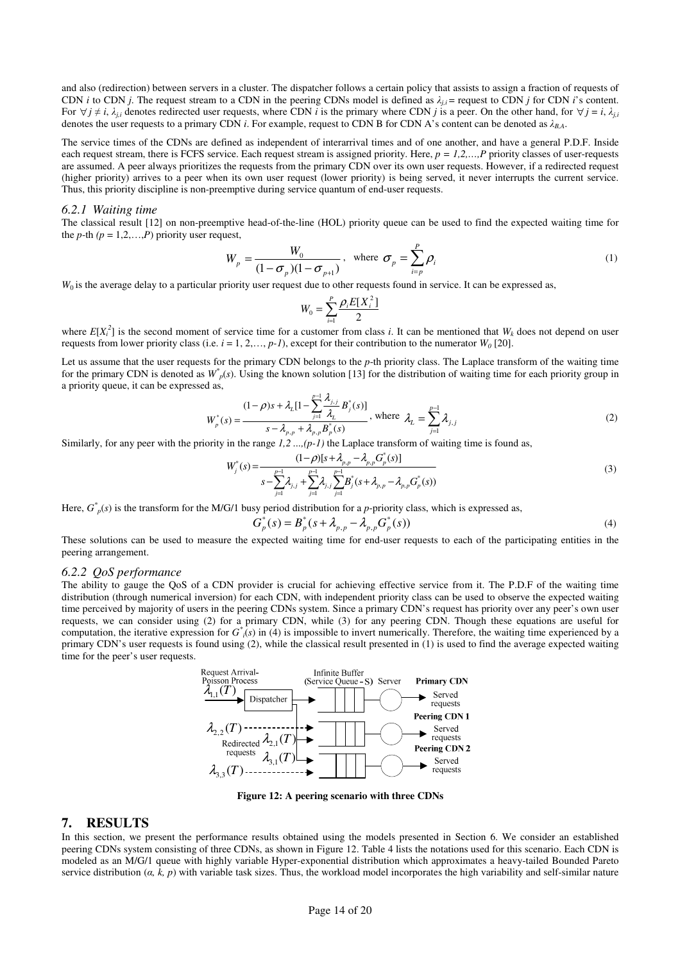and also (redirection) between servers in a cluster. The dispatcher follows a certain policy that assists to assign a fraction of requests of CDN *i* to CDN *j*. The request stream to a CDN in the peering CDNs model is defined as  $\lambda_{i,i}$  = request to CDN *j* for CDN *i*'s content. For  $\forall j \neq i$ ,  $\lambda_{ij}$  denotes redirected user requests, where CDN i is the primary where CDN j is a peer. On the other hand, for  $\forall j = i$ ,  $\lambda_{ij}$ denotes the user requests to a primary CDN i. For example, request to CDN B for CDN A's content can be denoted as  $\lambda_{BA}$ .

The service times of the CDNs are defined as independent of interarrival times and of one another, and have a general P.D.F. Inside each request stream, there is FCFS service. Each request stream is assigned priority. Here,  $p = 1, 2, \dots, P$  priority classes of user-requests are assumed. A peer always prioritizes the requests from the primary CDN over its own user requests. However, if a redirected request (higher priority) arrives to a peer when its own user request (lower priority) is being served, it never interrupts the current service. Thus, this priority discipline is non-preemptive during service quantum of end-user requests.

#### 6.2.1 Waiting time

The classical result [12] on non-preemptive head-of-the-line (HOL) priority queue can be used to find the expected waiting time for the *p*-th  $(p = 1, 2, \ldots, P)$  priority user request,

$$
W_p = \frac{W_0}{(1 - \sigma_p)(1 - \sigma_{p+1})}, \text{ where } \sigma_p = \sum_{i=p}^{P} \rho_i
$$
 (1)

 $W_0$  is the average delay to a particular priority user request due to other requests found in service. It can be expressed as,

$$
W_0 = \sum_{i=1}^P \frac{\rho_i E[X_i^2]}{2}
$$

where  $E[X_i^2]$  is the second moment of service time for a customer from class i. It can be mentioned that  $W_k$  does not depend on user requests from lower priority class (i.e.  $i = 1, 2, ..., p-1$ ), except for their contribution to the numerator  $W_0$  [20].

Let us assume that the user requests for the primary CDN belongs to the  $p$ -th priority class. The Laplace transform of the waiting time for the primary CDN is denoted as  $W_p^*(s)$ . Using the known solution [13] for the distribution of waiting time for each priority group in a priority queue, it can be expressed as,

$$
W_p^*(s) = \frac{(1 - \rho)s + \lambda_L [1 - \sum_{j=1}^{p-1} \frac{\lambda_{j,j}}{\lambda_L} B_j^*(s)]}{s - \lambda_{p,p} + \lambda_{p,p} B_p^*(s)}, \text{ where } \lambda_L = \sum_{j=1}^{p-1} \lambda_{j,j}
$$
 (2)

Similarly, for any peer with the priority in the range  $1, 2, \ldots, (p-1)$  the Laplace transform of waiting time is found as,

$$
W_j^*(s) = \frac{(1-\rho)[s+\lambda_{p,p}-\lambda_{p,p}G_p^*(s)]}{s-\sum_{j=1}^{p-1}\lambda_{j,j}+\sum_{j=1}^{p-1}\lambda_{j,j}\sum_{j=1}^{p-1}B_j^*(s+\lambda_{p,p}-\lambda_{p,p}G_p^*(s))}
$$
(3)

Here,  $G^*_{p}(s)$  is the transform for the M/G/1 busy period distribution for a *p*-priority class, which is expressed as,

$$
G_p^*(s) = B_p^*(s + \lambda_{p,p} - \lambda_{p,p} G_p^*(s))
$$
\n(4)

These solutions can be used to measure the expected waiting time for end-user requests to each of the participating entities in the peering arrangement.

#### 6.2.2 QoS performance

The ability to gauge the QoS of a CDN provider is crucial for achieving effective service from it. The P.D.F of the waiting time distribution (through numerical inversion) for each CDN, with independent priority class can be used to observe the expected waiting time perceived by majority of users in the peering CDNs system. Since a primary CDN's request has priority over any peer's own user requests, we can consider using (2) for a primary CDN, while (3) for any peering CDN. Though these equations are useful for computation, the iterative expression for  $G^*_{i}(s)$  in (4) is impossible to invert numerically. Therefore, the waiting time experienced by a primary CDN's user requests is found using (2), while the classical result presented in (1) is used to find the average expected waiting time for the peer's user requests.



Figure 12: A peering scenario with three CDNs

#### 7. RESULTS

In this section, we present the performance results obtained using the models presented in Section 6. We consider an established peering CDNs system consisting of three CDNs, as shown in Figure 12. Table 4 lists the notations used for this scenario. Each CDN is modeled as an M/G/1 queue with highly variable Hyper-exponential distribution which approximates a heavy-tailed Bounded Pareto service distribution  $(a, \bar{k}, p)$  with variable task sizes. Thus, the workload model incorporates the high variability and self-similar nature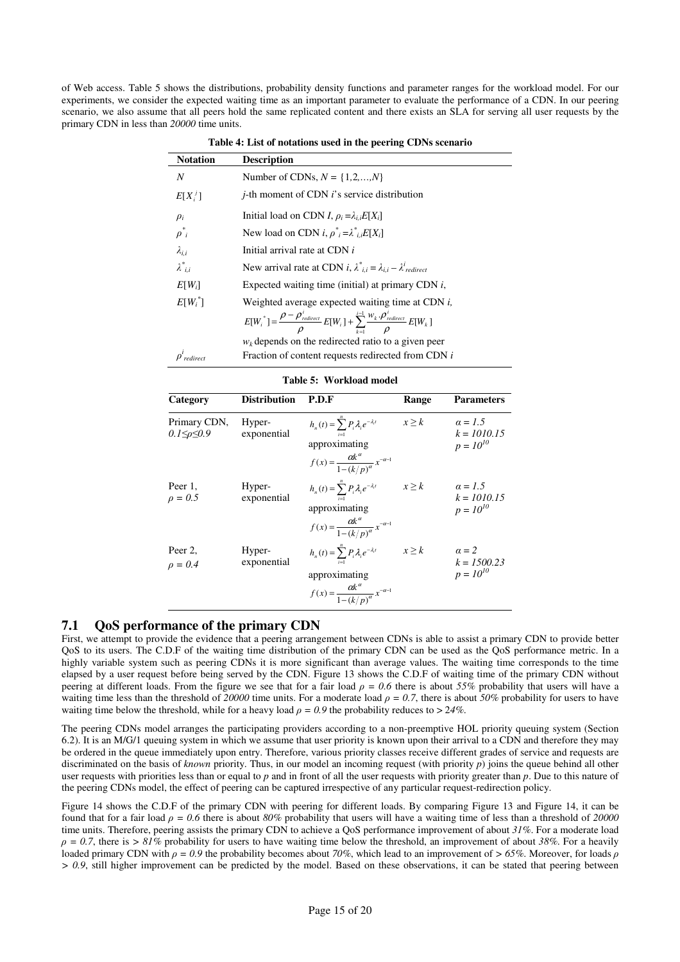of Web access. Table 5 shows the distributions, probability density functions and parameter ranges for the workload model. For our experiments, we consider the expected waiting time as an important parameter to evaluate the performance of a CDN. In our peering scenario, we also assume that all peers hold the same replicated content and there exists an SLA for serving all user requests by the primary CDN in less than 20000 time units.

 Notation Description Number of CDNs,  $N = \{1, 2, \ldots, N\}$  $E[X_i^{\ j}]$ j-th moment of CDN i's service distribution  $\rho_i$ Initial load on CDN I,  $\rho_i = \lambda_{i,i} E[X_i]$  $\rho^*$ New load on CDN  $i, \rho^*_{i} = \lambda^*_{i,i}E[X_i]$  $\lambda_{i,i}$  Initial arrival rate at CDN i  $\lambda^*$  $\sum_{i,i}$  New arrival rate at CDN *i*,  $\lambda^*_{i,i} = \lambda_{i,i} - \lambda^i_{redirect}$  $E[W_i]$ Expected waiting time (initial) at primary CDN  $i$ ,  $E[W_i^*$ Weighted average expected waiting time at CDN  $i$ ,  $\sum^{i-1}$  $=\frac{\rho-\rho^i_{\textit{redirect}}}{\rho}E[W_i]+\sum_{k=1}^{i-1}$ 1  $[W_i^*] = \frac{\rho - \rho^i_{\textit{redirect}}}{\rho} E[W_i] + \sum_{i=1}^{i-1} \frac{W_k \cdot \rho^i_{\textit{redirect}}}{\rho^i_{\textit{redirect}}} E[W_k]$  $\sum_{k=1}$   $\rho$   $\sum_{k=1}^{L} w_k$  $\mathcal{L}_i$ ] +  $\sum_{i=1}^{i-1} \frac{W_k \cdot \rho_{redirect}^i}{\sigma}$  $E[W_i^*] = \frac{\rho - \rho_{\textit{redirect}}^i}{\rho} E[W_i] + \sum_{k=1}^{i-1} \frac{w_k \cdot \rho_{\textit{redirect}}^i}{\rho} E[W_i]$ ρ ρ ρ ρ  $w_k$  depends on the redirected ratio to a given peer  $\rho^i$ Fraction of content requests redirected from CDN  $i$ 

| Table 4: List of notations used in the peering CDNs scenario |  |  |
|--------------------------------------------------------------|--|--|
|--------------------------------------------------------------|--|--|

|  |  | Table 5: Workload model |
|--|--|-------------------------|
|--|--|-------------------------|

| Category                         | <b>Distribution</b>   | P.D.F                                                                                                                                          | Range      | <b>Parameters</b>                                |
|----------------------------------|-----------------------|------------------------------------------------------------------------------------------------------------------------------------------------|------------|--------------------------------------------------|
| Primary CDN,<br>0.1≤ $\rho$ ≤0.9 | Hyper-<br>exponential | $h_n(t) = \sum_{i=1}^n P_i \lambda_i e^{-\lambda_i t}$<br>approximating<br>$f(x) = \frac{\alpha k^{\alpha}}{1 - (k/n)^{\alpha}} x^{-\alpha-1}$ | $x \geq k$ | $\alpha = 1.5$<br>$k = 1010.15$<br>$p = 10^{10}$ |
| Peer 1,<br>$\rho = 0.5$          | Hyper-<br>exponential | $h_n(t) = \sum_{i=1}^n P_i \lambda_i e^{-\lambda_i t}$<br>approximating<br>$f(x) = \frac{\alpha k^{\alpha}}{1 - (k/n)^{\alpha}} x^{-\alpha-1}$ | $x \geq k$ | $\alpha = 1.5$<br>$k = 1010.15$<br>$p = 10^{10}$ |
| Peer 2,<br>$\rho = 0.4$          | Hyper-<br>exponential | $h_n(t) = \sum_{i=1}^n P_i \lambda_i e^{-\lambda_i t}$<br>approximating<br>$f(x) = \frac{\alpha k^{\alpha}}{1 - (k/p)^{\alpha}} x^{-\alpha-1}$ | $x \geq k$ | $\alpha = 2$<br>$k = 1500.23$<br>$p = 10^{10}$   |

## 7.1 QoS performance of the primary CDN

First, we attempt to provide the evidence that a peering arrangement between CDNs is able to assist a primary CDN to provide better QoS to its users. The C.D.F of the waiting time distribution of the primary CDN can be used as the QoS performance metric. In a highly variable system such as peering CDNs it is more significant than average values. The waiting time corresponds to the time elapsed by a user request before being served by the CDN. Figure 13 shows the C.D.F of waiting time of the primary CDN without peering at different loads. From the figure we see that for a fair load  $\rho = 0.6$  there is about 55% probability that users will have a waiting time less than the threshold of 20000 time units. For a moderate load  $\rho = 0.7$ , there is about 50% probability for users to have waiting time below the threshold, while for a heavy load  $\rho = 0.9$  the probability reduces to  $> 24\%$ .

The peering CDNs model arranges the participating providers according to a non-preemptive HOL priority queuing system (Section 6.2). It is an M/G/1 queuing system in which we assume that user priority is known upon their arrival to a CDN and therefore they may be ordered in the queue immediately upon entry. Therefore, various priority classes receive different grades of service and requests are discriminated on the basis of known priority. Thus, in our model an incoming request (with priority  $p$ ) joins the queue behind all other user requests with priorities less than or equal to p and in front of all the user requests with priority greater than p. Due to this nature of the peering CDNs model, the effect of peering can be captured irrespective of any particular request-redirection policy.

Figure 14 shows the C.D.F of the primary CDN with peering for different loads. By comparing Figure 13 and Figure 14, it can be found that for a fair load  $\rho = 0.6$  there is about 80% probability that users will have a waiting time of less than a threshold of 20000 time units. Therefore, peering assists the primary CDN to achieve a QoS performance improvement of about 31%. For a moderate load  $\rho = 0.7$ , there is > 81% probability for users to have waiting time below the threshold, an improvement of about 38%. For a heavily loaded primary CDN with  $\rho = 0.9$  the probability becomes about 70%, which lead to an improvement of  $> 65\%$ . Moreover, for loads  $\rho$ > 0.9, still higher improvement can be predicted by the model. Based on these observations, it can be stated that peering between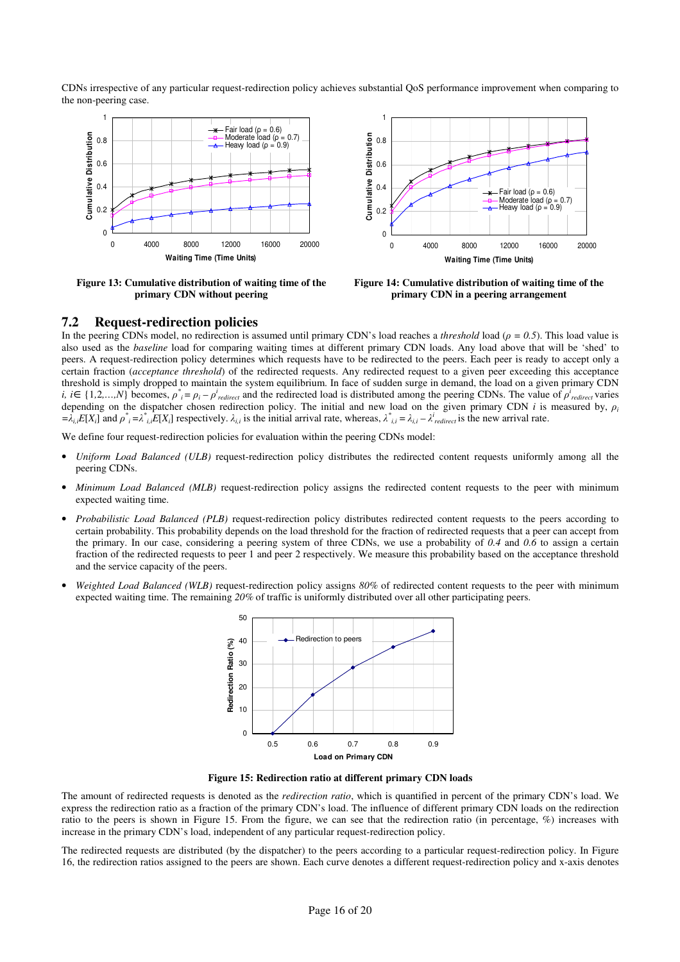CDNs irrespective of any particular request-redirection policy achieves substantial QoS performance improvement when comparing to the non-peering case.



Figure 13: Cumulative distribution of waiting time of the primary CDN without peering



Figure 14: Cumulative distribution of waiting time of the primary CDN in a peering arrangement

## 7.2 Request-redirection policies

In the peering CDNs model, no redirection is assumed until primary CDN's load reaches a *threshold* load ( $\rho = 0.5$ ). This load value is also used as the baseline load for comparing waiting times at different primary CDN loads. Any load above that will be 'shed' to peers. A request-redirection policy determines which requests have to be redirected to the peers. Each peer is ready to accept only a certain fraction (acceptance threshold) of the redirected requests. Any redirected request to a given peer exceeding this acceptance threshold is simply dropped to maintain the system equilibrium. In face of sudden surge in demand, the load on a given primary CDN *i*, *i*∈{1,2,...,*N*} becomes,  $\rho^*$ <sub>i</sub> =  $\rho_i - \rho^i_{redirect}$  and the redirected load is distributed among the peering CDNs. The value of  $\rho^i_{redirect}$  varies depending on the dispatcher chosen redirection policy. The initial and new load on the given primary CDN i is measured by,  $\rho_i$  $=\lambda_{i,i}E[X_i]$  and  $\rho^*_{i} = \lambda^*_{i,i}E[X_i]$  respectively.  $\lambda_{i,i}$  is the initial arrival rate, whereas,  $\lambda^*_{i,i} = \lambda_{i,i} - \lambda^i_{redirect}$  is the new arrival rate.

We define four request-redirection policies for evaluation within the peering CDNs model:

- Uniform Load Balanced (ULB) request-redirection policy distributes the redirected content requests uniformly among all the peering CDNs.
- Minimum Load Balanced (MLB) request-redirection policy assigns the redirected content requests to the peer with minimum expected waiting time.
- Probabilistic Load Balanced (PLB) request-redirection policy distributes redirected content requests to the peers according to certain probability. This probability depends on the load threshold for the fraction of redirected requests that a peer can accept from the primary. In our case, considering a peering system of three CDNs, we use a probability of  $0.4$  and  $0.6$  to assign a certain fraction of the redirected requests to peer 1 and peer 2 respectively. We measure this probability based on the acceptance threshold and the service capacity of the peers.
- Weighted Load Balanced (WLB) request-redirection policy assigns 80% of redirected content requests to the peer with minimum expected waiting time. The remaining 20% of traffic is uniformly distributed over all other participating peers.



Figure 15: Redirection ratio at different primary CDN loads

The amount of redirected requests is denoted as the *redirection ratio*, which is quantified in percent of the primary CDN's load. We express the redirection ratio as a fraction of the primary CDN's load. The influence of different primary CDN loads on the redirection ratio to the peers is shown in Figure 15. From the figure, we can see that the redirection ratio (in percentage, %) increases with increase in the primary CDN's load, independent of any particular request-redirection policy.

The redirected requests are distributed (by the dispatcher) to the peers according to a particular request-redirection policy. In Figure 16, the redirection ratios assigned to the peers are shown. Each curve denotes a different request-redirection policy and x-axis denotes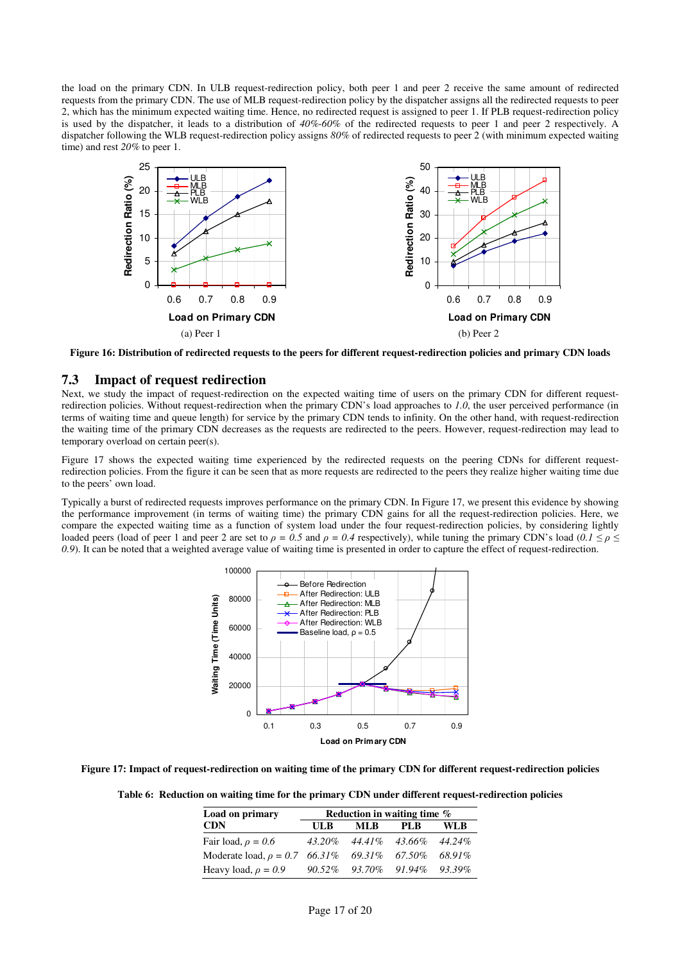the load on the primary CDN. In ULB request-redirection policy, both peer 1 and peer 2 receive the same amount of redirected requests from the primary CDN. The use of MLB request-redirection policy by the dispatcher assigns all the redirected requests to peer 2, which has the minimum expected waiting time. Hence, no redirected request is assigned to peer 1. If PLB request-redirection policy is used by the dispatcher, it leads to a distribution of 40%-60% of the redirected requests to peer 1 and peer 2 respectively. A dispatcher following the WLB request-redirection policy assigns 80% of redirected requests to peer 2 (with minimum expected waiting time) and rest 20% to peer 1.



Figure 16: Distribution of redirected requests to the peers for different request-redirection policies and primary CDN loads

## 7.3 Impact of request redirection

Next, we study the impact of request-redirection on the expected waiting time of users on the primary CDN for different requestredirection policies. Without request-redirection when the primary CDN's load approaches to 1.0, the user perceived performance (in terms of waiting time and queue length) for service by the primary CDN tends to infinity. On the other hand, with request-redirection the waiting time of the primary CDN decreases as the requests are redirected to the peers. However, request-redirection may lead to temporary overload on certain peer(s).

Figure 17 shows the expected waiting time experienced by the redirected requests on the peering CDNs for different requestredirection policies. From the figure it can be seen that as more requests are redirected to the peers they realize higher waiting time due to the peers' own load.

Typically a burst of redirected requests improves performance on the primary CDN. In Figure 17, we present this evidence by showing the performance improvement (in terms of waiting time) the primary CDN gains for all the request-redirection policies. Here, we compare the expected waiting time as a function of system load under the four request-redirection policies, by considering lightly loaded peers (load of peer 1 and peer 2 are set to  $\rho = 0.5$  and  $\rho = 0.4$  respectively), while tuning the primary CDN's load  $(0.1 \le \rho \le$ 0.9). It can be noted that a weighted average value of waiting time is presented in order to capture the effect of request-redirection.



Figure 17: Impact of request-redirection on waiting time of the primary CDN for different request-redirection policies

Table 6: Reduction on waiting time for the primary CDN under different request-redirection policies

| Load on primary                                  | Reduction in waiting time % |                         |      |           |  |
|--------------------------------------------------|-----------------------------|-------------------------|------|-----------|--|
| <b>CDN</b>                                       | UL B                        | ML B                    | PL B | WLB       |  |
| Fair load, $\rho = 0.6$                          | $43.20\%$                   | 44.41% 43.66%           |      | $44.24\%$ |  |
| Moderate load, $\rho = 0.7$ 66.31% 69.31% 67.50% |                             |                         |      | 68.91%    |  |
| Heavy load, $\rho = 0.9$                         |                             | 90.52\% 93.70\% 91.94\% |      | 93.39%    |  |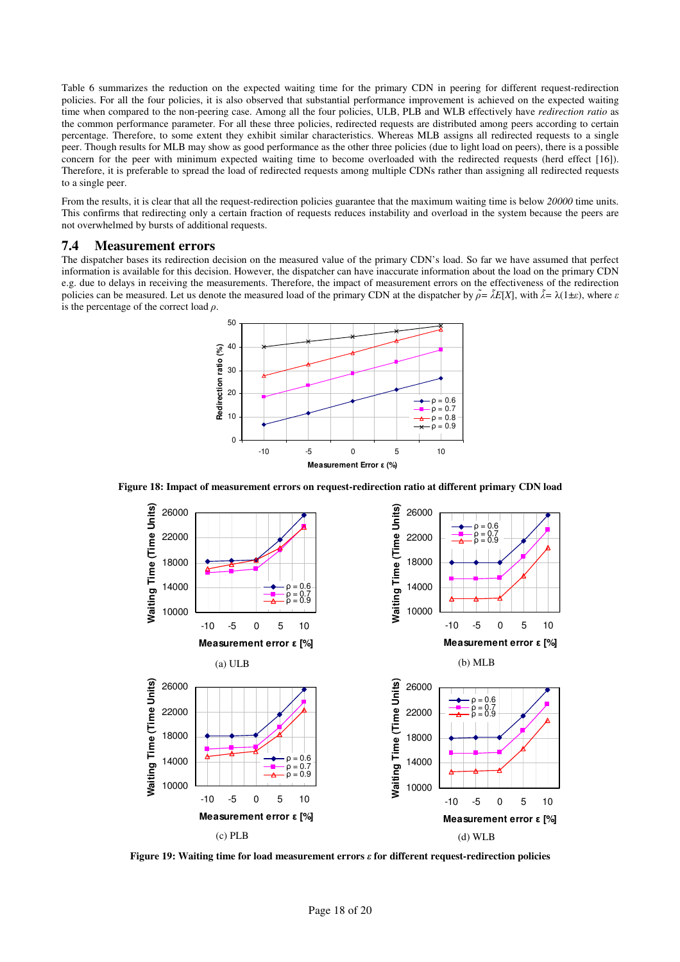Table 6 summarizes the reduction on the expected waiting time for the primary CDN in peering for different request-redirection policies. For all the four policies, it is also observed that substantial performance improvement is achieved on the expected waiting time when compared to the non-peering case. Among all the four policies, ULB, PLB and WLB effectively have *redirection ratio* as the common performance parameter. For all these three policies, redirected requests are distributed among peers according to certain percentage. Therefore, to some extent they exhibit similar characteristics. Whereas MLB assigns all redirected requests to a single peer. Though results for MLB may show as good performance as the other three policies (due to light load on peers), there is a possible concern for the peer with minimum expected waiting time to become overloaded with the redirected requests (herd effect [16]). Therefore, it is preferable to spread the load of redirected requests among multiple CDNs rather than assigning all redirected requests to a single peer.

From the results, it is clear that all the request-redirection policies guarantee that the maximum waiting time is below 20000 time units. This confirms that redirecting only a certain fraction of requests reduces instability and overload in the system because the peers are not overwhelmed by bursts of additional requests.

## 7.4 Measurement errors

The dispatcher bases its redirection decision on the measured value of the primary CDN's load. So far we have assumed that perfect information is available for this decision. However, the dispatcher can have inaccurate information about the load on the primary CDN e.g. due to delays in receiving the measurements. Therefore, the impact of measurement errors on the effectiveness of the redirection policies can be measured. Let us denote the measured load of the primary CDN at the dispatcher by  $\tilde{\rho} = \tilde{\lambda}E[X]$ , with  $\tilde{\lambda} = \lambda(1 \pm \varepsilon)$ , where  $\varepsilon$ is the percentage of the correct load  $\rho$ .



Figure 18: Impact of measurement errors on request-redirection ratio at different primary CDN load



Figure 19: Waiting time for load measurement errors  $\varepsilon$  for different request-redirection policies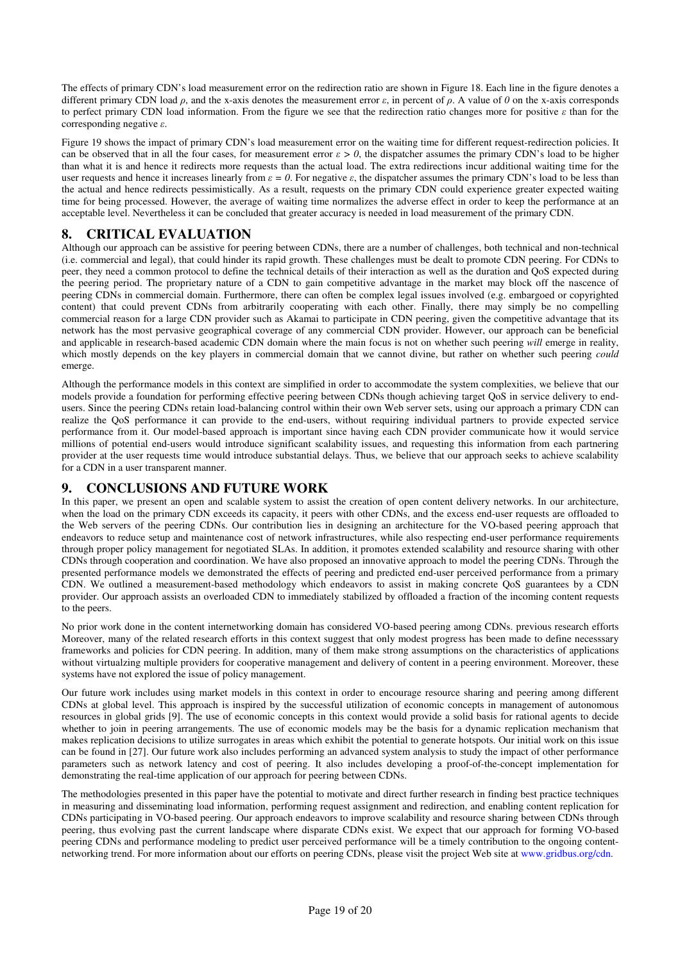The effects of primary CDN's load measurement error on the redirection ratio are shown in Figure 18. Each line in the figure denotes a different primary CDN load  $\rho$ , and the x-axis denotes the measurement error  $\varepsilon$ , in percent of  $\rho$ . A value of  $\theta$  on the x-axis corresponds to perfect primary CDN load information. From the figure we see that the redirection ratio changes more for positive  $\varepsilon$  than for the corresponding negative  $\varepsilon$ .

Figure 19 shows the impact of primary CDN's load measurement error on the waiting time for different request-redirection policies. It can be observed that in all the four cases, for measurement error  $\varepsilon > 0$ , the dispatcher assumes the primary CDN's load to be higher than what it is and hence it redirects more requests than the actual load. The extra redirections incur additional waiting time for the user requests and hence it increases linearly from  $\varepsilon = 0$ . For negative  $\varepsilon$ , the dispatcher assumes the primary CDN's load to be less than the actual and hence redirects pessimistically. As a result, requests on the primary CDN could experience greater expected waiting time for being processed. However, the average of waiting time normalizes the adverse effect in order to keep the performance at an acceptable level. Nevertheless it can be concluded that greater accuracy is needed in load measurement of the primary CDN.

# 8. CRITICAL EVALUATION

Although our approach can be assistive for peering between CDNs, there are a number of challenges, both technical and non-technical (i.e. commercial and legal), that could hinder its rapid growth. These challenges must be dealt to promote CDN peering. For CDNs to peer, they need a common protocol to define the technical details of their interaction as well as the duration and QoS expected during the peering period. The proprietary nature of a CDN to gain competitive advantage in the market may block off the nascence of peering CDNs in commercial domain. Furthermore, there can often be complex legal issues involved (e.g. embargoed or copyrighted content) that could prevent CDNs from arbitrarily cooperating with each other. Finally, there may simply be no compelling commercial reason for a large CDN provider such as Akamai to participate in CDN peering, given the competitive advantage that its network has the most pervasive geographical coverage of any commercial CDN provider. However, our approach can be beneficial and applicable in research-based academic CDN domain where the main focus is not on whether such peering will emerge in reality, which mostly depends on the key players in commercial domain that we cannot divine, but rather on whether such peering *could* emerge.

Although the performance models in this context are simplified in order to accommodate the system complexities, we believe that our models provide a foundation for performing effective peering between CDNs though achieving target QoS in service delivery to endusers. Since the peering CDNs retain load-balancing control within their own Web server sets, using our approach a primary CDN can realize the QoS performance it can provide to the end-users, without requiring individual partners to provide expected service performance from it. Our model-based approach is important since having each CDN provider communicate how it would service millions of potential end-users would introduce significant scalability issues, and requesting this information from each partnering provider at the user requests time would introduce substantial delays. Thus, we believe that our approach seeks to achieve scalability for a CDN in a user transparent manner.

# 9. CONCLUSIONS AND FUTURE WORK

In this paper, we present an open and scalable system to assist the creation of open content delivery networks. In our architecture, when the load on the primary CDN exceeds its capacity, it peers with other CDNs, and the excess end-user requests are offloaded to the Web servers of the peering CDNs. Our contribution lies in designing an architecture for the VO-based peering approach that endeavors to reduce setup and maintenance cost of network infrastructures, while also respecting end-user performance requirements through proper policy management for negotiated SLAs. In addition, it promotes extended scalability and resource sharing with other CDNs through cooperation and coordination. We have also proposed an innovative approach to model the peering CDNs. Through the presented performance models we demonstrated the effects of peering and predicted end-user perceived performance from a primary CDN. We outlined a measurement-based methodology which endeavors to assist in making concrete QoS guarantees by a CDN provider. Our approach assists an overloaded CDN to immediately stabilized by offloaded a fraction of the incoming content requests to the peers.

No prior work done in the content internetworking domain has considered VO-based peering among CDNs. previous research efforts Moreover, many of the related research efforts in this context suggest that only modest progress has been made to define necesssary frameworks and policies for CDN peering. In addition, many of them make strong assumptions on the characteristics of applications without virtualzing multiple providers for cooperative management and delivery of content in a peering environment. Moreover, these systems have not explored the issue of policy management.

Our future work includes using market models in this context in order to encourage resource sharing and peering among different CDNs at global level. This approach is inspired by the successful utilization of economic concepts in management of autonomous resources in global grids [9]. The use of economic concepts in this context would provide a solid basis for rational agents to decide whether to join in peering arrangements. The use of economic models may be the basis for a dynamic replication mechanism that makes replication decisions to utilize surrogates in areas which exhibit the potential to generate hotspots. Our initial work on this issue can be found in [27]. Our future work also includes performing an advanced system analysis to study the impact of other performance parameters such as network latency and cost of peering. It also includes developing a proof-of-the-concept implementation for demonstrating the real-time application of our approach for peering between CDNs.

The methodologies presented in this paper have the potential to motivate and direct further research in finding best practice techniques in measuring and disseminating load information, performing request assignment and redirection, and enabling content replication for CDNs participating in VO-based peering. Our approach endeavors to improve scalability and resource sharing between CDNs through peering, thus evolving past the current landscape where disparate CDNs exist. We expect that our approach for forming VO-based peering CDNs and performance modeling to predict user perceived performance will be a timely contribution to the ongoing contentnetworking trend. For more information about our efforts on peering CDNs, please visit the project Web site at www.gridbus.org/cdn.